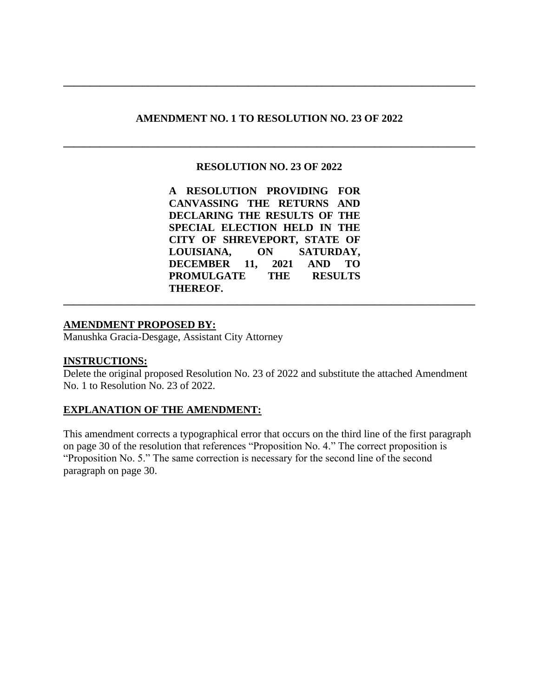# **AMENDMENT NO. 1 TO RESOLUTION NO. 23 OF 2022**

**\_\_\_\_\_\_\_\_\_\_\_\_\_\_\_\_\_\_\_\_\_\_\_\_\_\_\_\_\_\_\_\_\_\_\_\_\_\_\_\_\_\_\_\_\_\_\_\_\_\_\_\_\_\_\_\_\_\_\_\_\_\_\_\_\_\_\_\_\_\_\_\_\_\_\_\_\_\_**

**\_\_\_\_\_\_\_\_\_\_\_\_\_\_\_\_\_\_\_\_\_\_\_\_\_\_\_\_\_\_\_\_\_\_\_\_\_\_\_\_\_\_\_\_\_\_\_\_\_\_\_\_\_\_\_\_\_\_\_\_\_\_\_\_\_\_\_\_\_\_\_\_\_\_\_\_\_\_**

# **RESOLUTION NO. 23 OF 2022**

**A RESOLUTION PROVIDING FOR CANVASSING THE RETURNS AND DECLARING THE RESULTS OF THE SPECIAL ELECTION HELD IN THE CITY OF SHREVEPORT, STATE OF LOUISIANA, ON SATURDAY, DECEMBER 11, 2021 AND TO PROMULGATE THE RESULTS THEREOF.**

**\_\_\_\_\_\_\_\_\_\_\_\_\_\_\_\_\_\_\_\_\_\_\_\_\_\_\_\_\_\_\_\_\_\_\_\_\_\_\_\_\_\_\_\_\_\_\_\_\_\_\_\_\_\_\_\_\_\_\_\_\_\_\_\_\_\_\_\_\_\_\_\_\_\_\_\_\_\_**

# **AMENDMENT PROPOSED BY:**

Manushka Gracia-Desgage, Assistant City Attorney

# **INSTRUCTIONS:**

Delete the original proposed Resolution No. 23 of 2022 and substitute the attached Amendment No. 1 to Resolution No. 23 of 2022.

# **EXPLANATION OF THE AMENDMENT:**

This amendment corrects a typographical error that occurs on the third line of the first paragraph on page 30 of the resolution that references "Proposition No. 4." The correct proposition is "Proposition No. 5." The same correction is necessary for the second line of the second paragraph on page 30.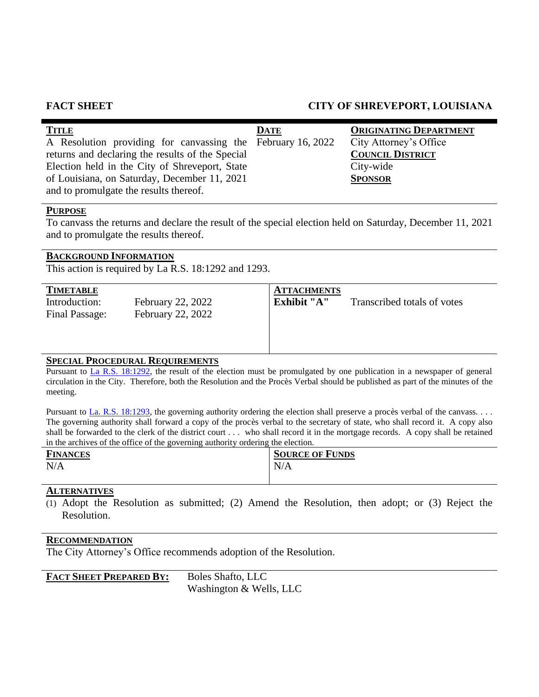# **FACT SHEET CITY OF SHREVEPORT, LOUISIANA**

| <b>TITLE</b>                                                | <b>DATE</b> | <b>ORIGINATING DEPARTMENT</b> |
|-------------------------------------------------------------|-------------|-------------------------------|
| A Resolution providing for canvassing the February 16, 2022 |             | City Attorney's Office        |
| returns and declaring the results of the Special            |             | <b>COUNCIL DISTRICT</b>       |
| Election held in the City of Shreveport, State              |             | City-wide                     |
| of Louisiana, on Saturday, December 11, 2021                |             | <b>SPONSOR</b>                |
| and to promulgate the results thereof.                      |             |                               |

# **PURPOSE**

To canvass the returns and declare the result of the special election held on Saturday, December 11, 2021 and to promulgate the results thereof.

# **BACKGROUND INFORMATION**

This action is required by La R.S. 18:1292 and 1293.

| <b>TIMETABLE</b>                |                                                      | <b>ATTACHMENTS</b> |                             |
|---------------------------------|------------------------------------------------------|--------------------|-----------------------------|
| Introduction:<br>Final Passage: | <b>February 22, 2022</b><br><b>February 22, 2022</b> | Exhibit "A"        | Transcribed totals of votes |
|                                 |                                                      |                    |                             |

# **SPECIAL PROCEDURAL REQUIREMENTS**

Pursuant to [La R.S. 18:1292,](http://legis.la.gov/legis/Law.aspx?d=81307) the result of the election must be promulgated by one publication in a newspaper of general circulation in the City. Therefore, both the Resolution and the Procès Verbal should be published as part of the minutes of the meeting.

Pursuant to [La. R.S. 18:1293,](http://legis.la.gov/legis/Law.aspx?d=81308) the governing authority ordering the election shall preserve a procès verbal of the canvass. . . . The governing authority shall forward a copy of the procès verbal to the secretary of state, who shall record it. A copy also shall be forwarded to the clerk of the district court . . . who shall record it in the mortgage records. A copy shall be retained in the archives of the office of the governing authority ordering the election.

| <b>FINANCES</b> | <b>SOURCE OF FUNDS</b> |
|-----------------|------------------------|
| N/A             | N/A                    |

# **ALTERNATIVES**

(1) Adopt the Resolution as submitted; (2) Amend the Resolution, then adopt; or (3) Reject the Resolution.

# **RECOMMENDATION**

The City Attorney's Office recommends adoption of the Resolution.

# **FACT SHEET PREPARED BY:** Boles Shafto, LLC

Washington & Wells, LLC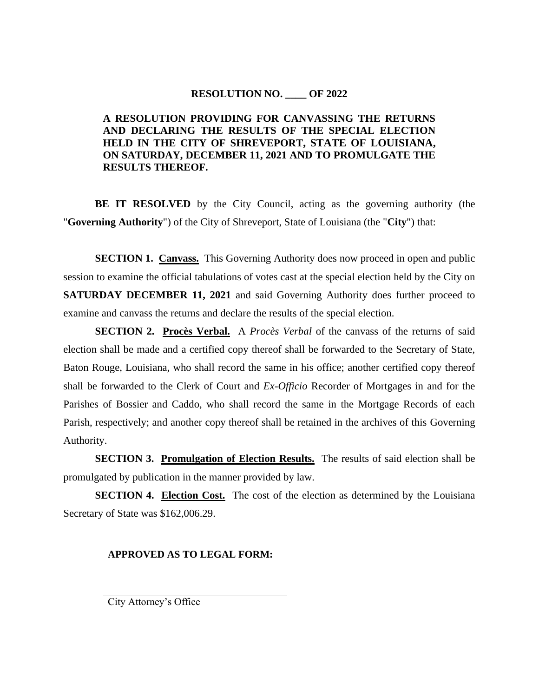# **RESOLUTION NO. \_\_\_\_ OF 2022**

# **A RESOLUTION PROVIDING FOR CANVASSING THE RETURNS AND DECLARING THE RESULTS OF THE SPECIAL ELECTION HELD IN THE CITY OF SHREVEPORT, STATE OF LOUISIANA, ON SATURDAY, DECEMBER 11, 2021 AND TO PROMULGATE THE RESULTS THEREOF.**

**BE IT RESOLVED** by the City Council, acting as the governing authority (the "**Governing Authority**") of the City of Shreveport, State of Louisiana (the "**City**") that:

**SECTION 1. Canvass.** This Governing Authority does now proceed in open and public session to examine the official tabulations of votes cast at the special election held by the City on **SATURDAY DECEMBER 11, 2021** and said Governing Authority does further proceed to examine and canvass the returns and declare the results of the special election.

**SECTION 2. Procès Verbal.** A *Procès Verbal* of the canvass of the returns of said election shall be made and a certified copy thereof shall be forwarded to the Secretary of State, Baton Rouge, Louisiana, who shall record the same in his office; another certified copy thereof shall be forwarded to the Clerk of Court and *Ex-Officio* Recorder of Mortgages in and for the Parishes of Bossier and Caddo, who shall record the same in the Mortgage Records of each Parish, respectively; and another copy thereof shall be retained in the archives of this Governing Authority.

**SECTION 3. Promulgation of Election Results.** The results of said election shall be promulgated by publication in the manner provided by law.

**SECTION 4. Election Cost.** The cost of the election as determined by the Louisiana Secretary of State was \$162,006.29.

# **APPROVED AS TO LEGAL FORM:**

City Attorney's Office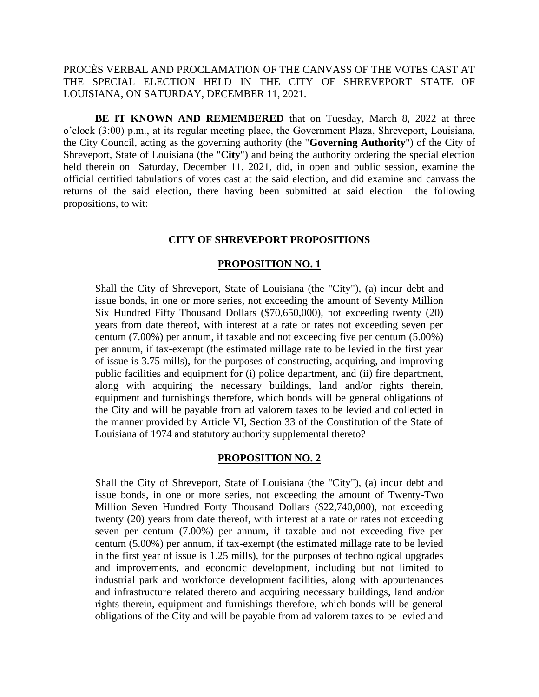PROCÈS VERBAL AND PROCLAMATION OF THE CANVASS OF THE VOTES CAST AT THE SPECIAL ELECTION HELD IN THE CITY OF SHREVEPORT STATE OF LOUISIANA, ON SATURDAY, DECEMBER 11, 2021.

**BE IT KNOWN AND REMEMBERED** that on Tuesday, March 8, 2022 at three o'clock (3:00) p.m., at its regular meeting place, the Government Plaza, Shreveport, Louisiana, the City Council, acting as the governing authority (the "**Governing Authority**") of the City of Shreveport, State of Louisiana (the "**City**") and being the authority ordering the special election held therein on Saturday, December 11, 2021, did, in open and public session, examine the official certified tabulations of votes cast at the said election, and did examine and canvass the returns of the said election, there having been submitted at said election the following propositions, to wit:

#### **CITY OF SHREVEPORT PROPOSITIONS**

#### **PROPOSITION NO. 1**

Shall the City of Shreveport, State of Louisiana (the "City"), (a) incur debt and issue bonds, in one or more series, not exceeding the amount of Seventy Million Six Hundred Fifty Thousand Dollars (\$70,650,000), not exceeding twenty (20) years from date thereof, with interest at a rate or rates not exceeding seven per centum (7.00%) per annum, if taxable and not exceeding five per centum (5.00%) per annum, if tax-exempt (the estimated millage rate to be levied in the first year of issue is 3.75 mills), for the purposes of constructing, acquiring, and improving public facilities and equipment for (i) police department, and (ii) fire department, along with acquiring the necessary buildings, land and/or rights therein, equipment and furnishings therefore, which bonds will be general obligations of the City and will be payable from ad valorem taxes to be levied and collected in the manner provided by Article VI, Section 33 of the Constitution of the State of Louisiana of 1974 and statutory authority supplemental thereto?

#### **PROPOSITION NO. 2**

Shall the City of Shreveport, State of Louisiana (the "City"), (a) incur debt and issue bonds, in one or more series, not exceeding the amount of Twenty-Two Million Seven Hundred Forty Thousand Dollars (\$22,740,000), not exceeding twenty (20) years from date thereof, with interest at a rate or rates not exceeding seven per centum (7.00%) per annum, if taxable and not exceeding five per centum (5.00%) per annum, if tax-exempt (the estimated millage rate to be levied in the first year of issue is 1.25 mills), for the purposes of technological upgrades and improvements, and economic development, including but not limited to industrial park and workforce development facilities, along with appurtenances and infrastructure related thereto and acquiring necessary buildings, land and/or rights therein, equipment and furnishings therefore, which bonds will be general obligations of the City and will be payable from ad valorem taxes to be levied and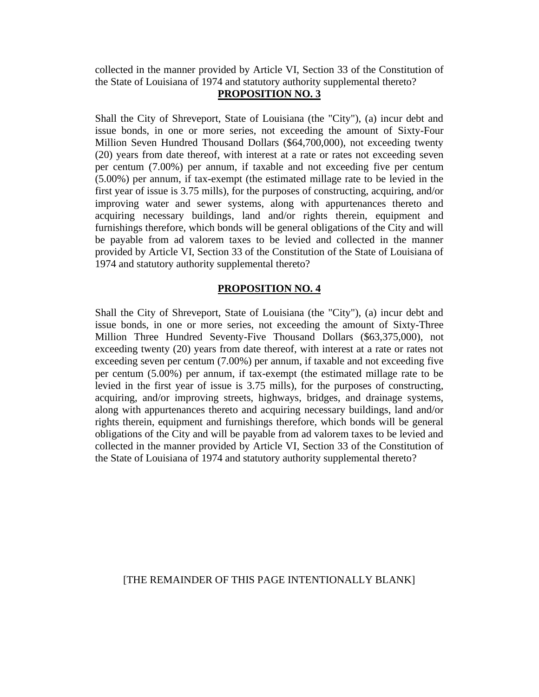collected in the manner provided by Article VI, Section 33 of the Constitution of the State of Louisiana of 1974 and statutory authority supplemental thereto?

# **PROPOSITION NO. 3**

Shall the City of Shreveport, State of Louisiana (the "City"), (a) incur debt and issue bonds, in one or more series, not exceeding the amount of Sixty-Four Million Seven Hundred Thousand Dollars (\$64,700,000), not exceeding twenty (20) years from date thereof, with interest at a rate or rates not exceeding seven per centum (7.00%) per annum, if taxable and not exceeding five per centum (5.00%) per annum, if tax-exempt (the estimated millage rate to be levied in the first year of issue is 3.75 mills), for the purposes of constructing, acquiring, and/or improving water and sewer systems, along with appurtenances thereto and acquiring necessary buildings, land and/or rights therein, equipment and furnishings therefore, which bonds will be general obligations of the City and will be payable from ad valorem taxes to be levied and collected in the manner provided by Article VI, Section 33 of the Constitution of the State of Louisiana of 1974 and statutory authority supplemental thereto?

# **PROPOSITION NO. 4**

Shall the City of Shreveport, State of Louisiana (the "City"), (a) incur debt and issue bonds, in one or more series, not exceeding the amount of Sixty-Three Million Three Hundred Seventy-Five Thousand Dollars (\$63,375,000), not exceeding twenty (20) years from date thereof, with interest at a rate or rates not exceeding seven per centum (7.00%) per annum, if taxable and not exceeding five per centum (5.00%) per annum, if tax-exempt (the estimated millage rate to be levied in the first year of issue is 3.75 mills), for the purposes of constructing, acquiring, and/or improving streets, highways, bridges, and drainage systems, along with appurtenances thereto and acquiring necessary buildings, land and/or rights therein, equipment and furnishings therefore, which bonds will be general obligations of the City and will be payable from ad valorem taxes to be levied and collected in the manner provided by Article VI, Section 33 of the Constitution of the State of Louisiana of 1974 and statutory authority supplemental thereto?

# [THE REMAINDER OF THIS PAGE INTENTIONALLY BLANK]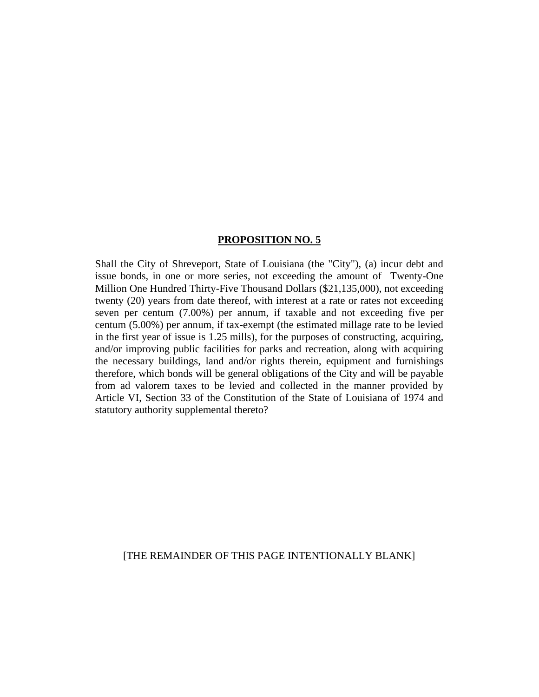### **PROPOSITION NO. 5**

Shall the City of Shreveport, State of Louisiana (the "City"), (a) incur debt and issue bonds, in one or more series, not exceeding the amount of Twenty-One Million One Hundred Thirty-Five Thousand Dollars (\$21,135,000), not exceeding twenty (20) years from date thereof, with interest at a rate or rates not exceeding seven per centum (7.00%) per annum, if taxable and not exceeding five per centum (5.00%) per annum, if tax-exempt (the estimated millage rate to be levied in the first year of issue is 1.25 mills), for the purposes of constructing, acquiring, and/or improving public facilities for parks and recreation, along with acquiring the necessary buildings, land and/or rights therein, equipment and furnishings therefore, which bonds will be general obligations of the City and will be payable from ad valorem taxes to be levied and collected in the manner provided by Article VI, Section 33 of the Constitution of the State of Louisiana of 1974 and statutory authority supplemental thereto?

[THE REMAINDER OF THIS PAGE INTENTIONALLY BLANK]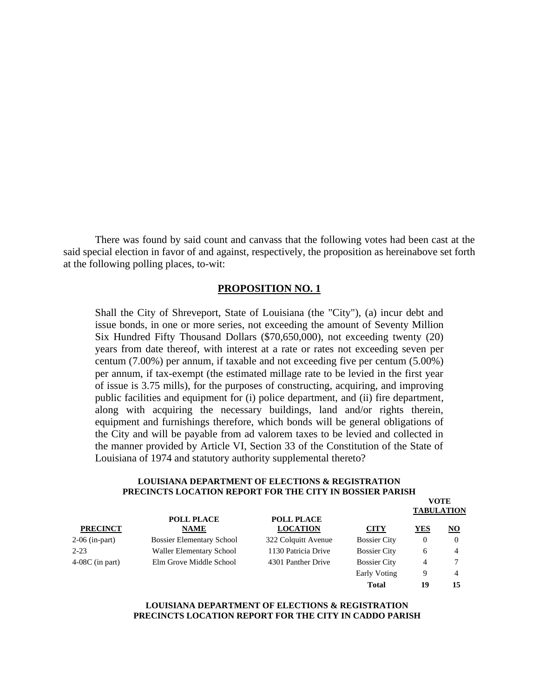There was found by said count and canvass that the following votes had been cast at the said special election in favor of and against, respectively, the proposition as hereinabove set forth at the following polling places, to-wit:

### **PROPOSITION NO. 1**

Shall the City of Shreveport, State of Louisiana (the "City"), (a) incur debt and issue bonds, in one or more series, not exceeding the amount of Seventy Million Six Hundred Fifty Thousand Dollars (\$70,650,000), not exceeding twenty (20) years from date thereof, with interest at a rate or rates not exceeding seven per centum (7.00%) per annum, if taxable and not exceeding five per centum (5.00%) per annum, if tax-exempt (the estimated millage rate to be levied in the first year of issue is 3.75 mills), for the purposes of constructing, acquiring, and improving public facilities and equipment for (i) police department, and (ii) fire department, along with acquiring the necessary buildings, land and/or rights therein, equipment and furnishings therefore, which bonds will be general obligations of the City and will be payable from ad valorem taxes to be levied and collected in the manner provided by Article VI, Section 33 of the Constitution of the State of Louisiana of 1974 and statutory authority supplemental thereto?

#### **LOUISIANA DEPARTMENT OF ELECTIONS & REGISTRATION PRECINCTS LOCATION REPORT FOR THE CITY IN BOSSIER PARISH**

|                   |                                  |                                      |                     |                | <b>VOTE</b>               |
|-------------------|----------------------------------|--------------------------------------|---------------------|----------------|---------------------------|
|                   |                                  |                                      |                     |                | <b>TABULATION</b>         |
| <b>PRECINCT</b>   | <b>POLL PLACE</b><br><b>NAME</b> | <b>POLL PLACE</b><br><b>LOCATION</b> | <b>CITY</b>         | <b>YES</b>     | $\underline{\mathbf{NO}}$ |
| $2-06$ (in-part)  | <b>Bossier Elementary School</b> | 322 Colquitt Avenue                  | <b>Bossier City</b> | $\theta$       |                           |
| $2 - 23$          | <b>Waller Elementary School</b>  | 1130 Patricia Drive                  | <b>Bossier City</b> | 6              | $\overline{4}$            |
| $4-08C$ (in part) | Elm Grove Middle School          | 4301 Panther Drive                   | <b>Bossier City</b> | $\overline{4}$ |                           |
|                   |                                  |                                      | Early Voting        | 9              | $\overline{4}$            |
|                   |                                  |                                      | <b>Total</b>        | 19             | 15                        |

#### **LOUISIANA DEPARTMENT OF ELECTIONS & REGISTRATION PRECINCTS LOCATION REPORT FOR THE CITY IN CADDO PARISH**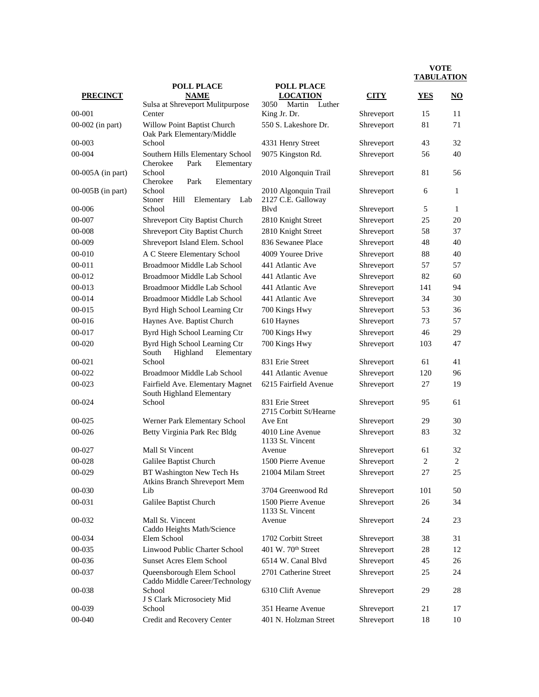|                     | <b>POLL PLACE</b>                                                  | <b>POLL PLACE</b>                          |             |                |                           |
|---------------------|--------------------------------------------------------------------|--------------------------------------------|-------------|----------------|---------------------------|
| <b>PRECINCT</b>     | <b>NAME</b>                                                        | <b>LOCATION</b>                            | <b>CITY</b> | YES            | $\underline{\mathrm{NO}}$ |
|                     | Sulsa at Shreveport Mulitpurpose                                   | 3050<br>Martin<br>Luther                   |             |                |                           |
| 00-001              | Center                                                             | King Jr. Dr.                               | Shreveport  | 15             | 11                        |
| 00-002 (in part)    | Willow Point Baptist Church<br>Oak Park Elementary/Middle          | 550 S. Lakeshore Dr.                       | Shreveport  | 81             | 71                        |
| 00-003              | School                                                             | 4331 Henry Street                          | Shreveport  | 43             | 32                        |
| 00-004              | Southern Hills Elementary School<br>Cherokee<br>Park<br>Elementary | 9075 Kingston Rd.                          | Shreveport  | 56             | 40                        |
| 00-005A (in part)   | School<br>Cherokee<br>Park<br>Elementary                           | 2010 Algonquin Trail                       | Shreveport  | 81             | 56                        |
| $00-005B$ (in part) | School<br>Hill<br>Stoner<br>Elementary<br>Lab                      | 2010 Algonquin Trail<br>2127 C.E. Galloway | Shreveport  | 6              | 1                         |
| 00-006              | School                                                             | Blvd                                       | Shreveport  | 5              | $\mathbf{1}$              |
| 00-007              | Shreveport City Baptist Church                                     | 2810 Knight Street                         | Shreveport  | 25             | 20                        |
| 00-008              | Shreveport City Baptist Church                                     | 2810 Knight Street                         | Shreveport  | 58             | 37                        |
| 00-009              | Shreveport Island Elem. School                                     | 836 Sewanee Place                          | Shreveport  | 48             | 40                        |
| 00-010              | A C Steere Elementary School                                       | 4009 Youree Drive                          | Shreveport  | 88             | 40                        |
| $00 - 011$          | Broadmoor Middle Lab School                                        | 441 Atlantic Ave                           | Shreveport  | 57             | 57                        |
| 00-012              | Broadmoor Middle Lab School                                        | 441 Atlantic Ave                           | Shreveport  | 82             | 60                        |
| 00-013              | Broadmoor Middle Lab School                                        | 441 Atlantic Ave                           | Shreveport  | 141            | 94                        |
| 00-014              | Broadmoor Middle Lab School                                        | 441 Atlantic Ave                           | Shreveport  | 34             | 30                        |
| 00-015              | Byrd High School Learning Ctr                                      | 700 Kings Hwy                              | Shreveport  | 53             | 36                        |
| 00-016              | Haynes Ave. Baptist Church                                         | 610 Haynes                                 | Shreveport  | 73             | 57                        |
| 00-017              | Byrd High School Learning Ctr                                      | 700 Kings Hwy                              | Shreveport  | 46             | 29                        |
| 00-020              | Byrd High School Learning Ctr                                      | 700 Kings Hwy                              | Shreveport  | 103            | 47                        |
|                     | South<br>Highland<br>Elementary                                    |                                            |             |                |                           |
| 00-021              | School                                                             | 831 Erie Street                            | Shreveport  | 61             | 41                        |
| 00-022              | Broadmoor Middle Lab School                                        | 441 Atlantic Avenue                        | Shreveport  | 120            | 96                        |
| 00-023              | Fairfield Ave. Elementary Magnet<br>South Highland Elementary      | 6215 Fairfield Avenue                      | Shreveport  | 27             | 19                        |
| 00-024              | School                                                             | 831 Erie Street<br>2715 Corbitt St/Hearne  | Shreveport  | 95             | 61                        |
| 00-025              | Werner Park Elementary School                                      | Ave Ent                                    | Shreveport  | 29             | 30                        |
| 00-026              | Betty Virginia Park Rec Bldg                                       | 4010 Line Avenue<br>1133 St. Vincent       | Shreveport  | 83             | 32                        |
| 00-027              | <b>Mall St Vincent</b>                                             | Avenue                                     | Shreveport  | 61             | 32                        |
| 00-028              | Galilee Baptist Church                                             | 1500 Pierre Avenue                         | Shreveport  | $\overline{2}$ | $\overline{2}$            |
| 00-029              | BT Washington New Tech Hs<br>Atkins Branch Shreveport Mem          | 21004 Milam Street                         | Shreveport  | 27             | 25                        |
| 00-030              | Lib                                                                | 3704 Greenwood Rd                          | Shreveport  | 101            | 50                        |
| 00-031              | Galilee Baptist Church                                             | 1500 Pierre Avenue<br>1133 St. Vincent     | Shreveport  | 26             | 34                        |
| 00-032              | Mall St. Vincent<br>Caddo Heights Math/Science                     | Avenue                                     | Shreveport  | 24             | 23                        |
| 00-034              | Elem School                                                        | 1702 Corbitt Street                        | Shreveport  | 38             | 31                        |
| 00-035              | Linwood Public Charter School                                      | 401 W. 70th Street                         | Shreveport  | 28             | 12                        |
| 00-036              | <b>Sunset Acres Elem School</b>                                    | 6514 W. Canal Blvd                         | Shreveport  | 45             | 26                        |
| 00-037              | Queensborough Elem School<br>Caddo Middle Career/Technology        | 2701 Catherine Street                      | Shreveport  | 25             | 24                        |
| 00-038              | School<br>J S Clark Microsociety Mid                               | 6310 Clift Avenue                          | Shreveport  | 29             | 28                        |
| 00-039              | School                                                             | 351 Hearne Avenue                          | Shreveport  | 21             | 17                        |
| 00-040              | Credit and Recovery Center                                         | 401 N. Holzman Street                      | Shreveport  | 18             | 10                        |
|                     |                                                                    |                                            |             |                |                           |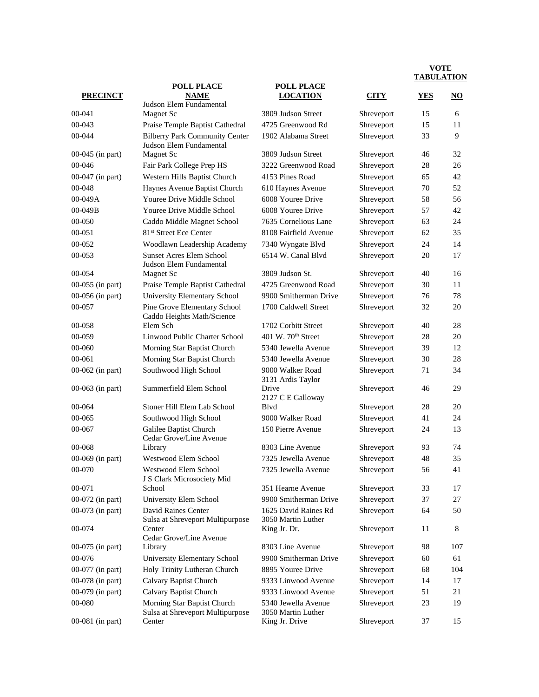|                  | <b>POLL PLACE</b>                                                | <b>POLL PLACE</b>                          |             |            |                        |
|------------------|------------------------------------------------------------------|--------------------------------------------|-------------|------------|------------------------|
| <b>PRECINCT</b>  | <b>NAME</b>                                                      | <b>LOCATION</b>                            | <b>CITY</b> | <b>YES</b> | $\overline{\text{NO}}$ |
| 00-041           | Judson Elem Fundamental<br>Magnet Sc                             | 3809 Judson Street                         | Shreveport  | 15         | 6                      |
| 00-043           | Praise Temple Baptist Cathedral                                  | 4725 Greenwood Rd                          | Shreveport  | 15         | 11                     |
| 00-044           | <b>Bilberry Park Community Center</b><br>Judson Elem Fundamental | 1902 Alabama Street                        | Shreveport  | 33         | 9                      |
| 00-045 (in part) | Magnet Sc                                                        | 3809 Judson Street                         | Shreveport  | 46         | 32                     |
| 00-046           | Fair Park College Prep HS                                        | 3222 Greenwood Road                        | Shreveport  | 28         | 26                     |
| 00-047 (in part) | Western Hills Baptist Church                                     | 4153 Pines Road                            | Shreveport  | 65         | 42                     |
| 00-048           | Haynes Avenue Baptist Church                                     | 610 Haynes Avenue                          | Shreveport  | 70         | 52                     |
| 00-049A          | Youree Drive Middle School                                       | 6008 Youree Drive                          | Shreveport  | 58         | 56                     |
| $00-049B$        | Youree Drive Middle School                                       | 6008 Youree Drive                          | Shreveport  | 57         | 42                     |
| 00-050           | Caddo Middle Magnet School                                       | 7635 Cornelious Lane                       | Shreveport  | 63         | 24                     |
| 00-051           | 81 <sup>st</sup> Street Ece Center                               | 8108 Fairfield Avenue                      | Shreveport  | 62         | 35                     |
| 00-052           | Woodlawn Leadership Academy                                      | 7340 Wyngate Blvd                          | Shreveport  | 24         | 14                     |
| 00-053           | <b>Sunset Acres Elem School</b><br>Judson Elem Fundamental       | 6514 W. Canal Blvd                         | Shreveport  | 20         | 17                     |
| 00-054           | <b>Magnet Sc</b>                                                 | 3809 Judson St.                            | Shreveport  | 40         | 16                     |
| 00-055 (in part) | Praise Temple Baptist Cathedral                                  | 4725 Greenwood Road                        | Shreveport  | 30         | 11                     |
| 00-056 (in part) | <b>University Elementary School</b>                              | 9900 Smitherman Drive                      | Shreveport  | 76         | 78                     |
| 00-057           | Pine Grove Elementary School<br>Caddo Heights Math/Science       | 1700 Caldwell Street                       | Shreveport  | 32         | 20                     |
| 00-058           | Elem Sch                                                         | 1702 Corbitt Street                        | Shreveport  | 40         | 28                     |
| 00-059           | Linwood Public Charter School                                    | 401 W. $70th$ Street                       | Shreveport  | 28         | 20                     |
| 00-060           | Morning Star Baptist Church                                      | 5340 Jewella Avenue                        | Shreveport  | 39         | 12                     |
| $00 - 061$       | Morning Star Baptist Church                                      | 5340 Jewella Avenue                        | Shreveport  | 30         | 28                     |
| 00-062 (in part) | Southwood High School                                            | 9000 Walker Road<br>3131 Ardis Taylor      | Shreveport  | 71         | 34                     |
| 00-063 (in part) | Summerfield Elem School                                          | Drive<br>2127 C E Galloway                 | Shreveport  | 46         | 29                     |
| 00-064           | Stoner Hill Elem Lab School                                      | Blvd                                       | Shreveport  | 28         | 20                     |
| 00-065           | Southwood High School                                            | 9000 Walker Road                           | Shreveport  | 41         | 24                     |
| 00-067           | Galilee Baptist Church<br>Cedar Grove/Line Avenue                | 150 Pierre Avenue                          | Shreveport  | 24         | 13                     |
| 00-068           | Library                                                          | 8303 Line Avenue                           | Shreveport  | 93         | 74                     |
| 00-069 (in part) | Westwood Elem School                                             | 7325 Jewella Avenue                        | Shreveport  | 48         | 35                     |
| 00-070           | Westwood Elem School<br>J S Clark Microsociety Mid               | 7325 Jewella Avenue                        | Shreveport  | 56         | 41                     |
| 00-071           | School                                                           | 351 Hearne Avenue                          | Shreveport  | 33         | 17                     |
| 00-072 (in part) | University Elem School                                           | 9900 Smitherman Drive                      | Shreveport  | 37         | 27                     |
| 00-073 (in part) | David Raines Center<br>Sulsa at Shreveport Multipurpose          | 1625 David Raines Rd<br>3050 Martin Luther | Shreveport  | 64         | 50                     |
| 00-074           | Center<br>Cedar Grove/Line Avenue                                | King Jr. Dr.                               | Shreveport  | 11         | 8                      |
| 00-075 (in part) | Library                                                          | 8303 Line Avenue                           | Shreveport  | 98         | 107                    |
| 00-076           | University Elementary School                                     | 9900 Smitherman Drive                      | Shreveport  | 60         | 61                     |
| 00-077 (in part) | Holy Trinity Lutheran Church                                     | 8895 Youree Drive                          | Shreveport  | 68         | 104                    |
| 00-078 (in part) | Calvary Baptist Church                                           | 9333 Linwood Avenue                        | Shreveport  | 14         | 17                     |
| 00-079 (in part) | <b>Calvary Baptist Church</b>                                    | 9333 Linwood Avenue                        | Shreveport  | 51         | 21                     |
| 00-080           | Morning Star Baptist Church<br>Sulsa at Shreveport Multipurpose  | 5340 Jewella Avenue<br>3050 Martin Luther  | Shreveport  | 23         | 19                     |
| 00-081 (in part) | Center                                                           | King Jr. Drive                             | Shreveport  | 37         | 15                     |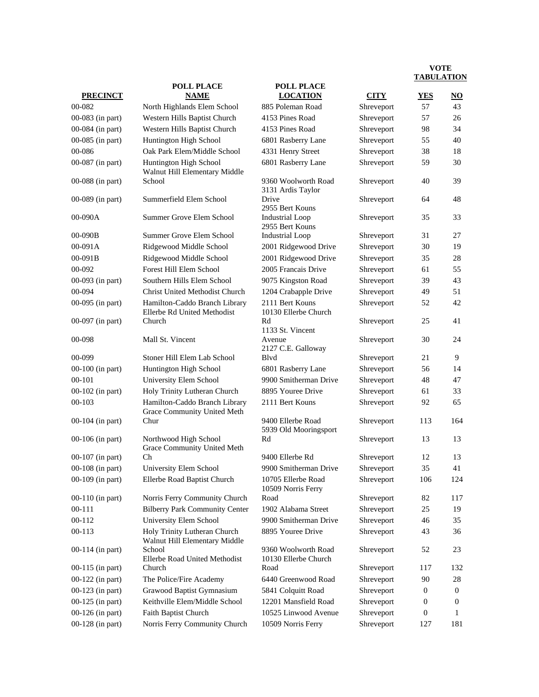|                    | <b>POLL PLACE</b>                                             |                                             |             | 11100111101 |                        |
|--------------------|---------------------------------------------------------------|---------------------------------------------|-------------|-------------|------------------------|
| <b>PRECINCT</b>    | <b>NAME</b>                                                   | <b>POLL PLACE</b><br><b>LOCATION</b>        | <b>CITY</b> | <b>YES</b>  | $\overline{\text{NO}}$ |
| 00-082             | North Highlands Elem School                                   | 885 Poleman Road                            | Shreveport  | 57          | 43                     |
| 00-083 (in part)   | Western Hills Baptist Church                                  | 4153 Pines Road                             | Shreveport  | 57          | 26                     |
| 00-084 (in part)   | Western Hills Baptist Church                                  | 4153 Pines Road                             | Shreveport  | 98          | 34                     |
| 00-085 (in part)   | Huntington High School                                        | 6801 Rasberry Lane                          | Shreveport  | 55          | 40                     |
| 00-086             | Oak Park Elem/Middle School                                   | 4331 Henry Street                           | Shreveport  | 38          | 18                     |
| 00-087 (in part)   | Huntington High School<br>Walnut Hill Elementary Middle       | 6801 Rasberry Lane                          | Shreveport  | 59          | 30                     |
| 00-088 (in part)   | School                                                        | 9360 Woolworth Road<br>3131 Ardis Taylor    | Shreveport  | 40          | 39                     |
| $00-089$ (in part) | Summerfield Elem School                                       | Drive<br>2955 Bert Kouns                    | Shreveport  | 64          | 48                     |
| 00-090A            | Summer Grove Elem School                                      | <b>Industrial Loop</b><br>2955 Bert Kouns   | Shreveport  | 35          | 33                     |
| $00-090B$          | Summer Grove Elem School                                      | <b>Industrial Loop</b>                      | Shreveport  | 31          | 27                     |
| 00-091A            | Ridgewood Middle School                                       | 2001 Ridgewood Drive                        | Shreveport  | 30          | 19                     |
| $00-091B$          | Ridgewood Middle School                                       | 2001 Ridgewood Drive                        | Shreveport  | 35          | 28                     |
| 00-092             | Forest Hill Elem School                                       | 2005 Francais Drive                         | Shreveport  | 61          | 55                     |
| 00-093 (in part)   | Southern Hills Elem School                                    | 9075 Kingston Road                          | Shreveport  | 39          | 43                     |
| 00-094             | Christ United Methodist Church                                | 1204 Crabapple Drive                        | Shreveport  | 49          | 51                     |
| $00-095$ (in part) | Hamilton-Caddo Branch Library<br>Ellerbe Rd United Methodist  | 2111 Bert Kouns<br>10130 Ellerbe Church     | Shreveport  | 52          | 42                     |
| $00-097$ (in part) | Church                                                        | Rd<br>1133 St. Vincent                      | Shreveport  | 25          | 41                     |
| 00-098             | Mall St. Vincent                                              | Avenue<br>2127 C.E. Galloway                | Shreveport  | 30          | 24                     |
| 00-099             | Stoner Hill Elem Lab School                                   | Blyd                                        | Shreveport  | 21          | 9                      |
| 00-100 (in part)   | Huntington High School                                        | 6801 Rasberry Lane                          | Shreveport  | 56          | 14                     |
| $00 - 101$         | University Elem School                                        | 9900 Smitherman Drive                       | Shreveport  | 48          | 47                     |
| 00-102 (in part)   | Holy Trinity Lutheran Church                                  | 8895 Youree Drive                           | Shreveport  | 61          | 33                     |
| $00-103$           | Hamilton-Caddo Branch Library<br>Grace Community United Meth  | 2111 Bert Kouns                             | Shreveport  | 92          | 65                     |
| $00-104$ (in part) | Chur                                                          | 9400 Ellerbe Road<br>5939 Old Mooringsport  | Shreveport  | 113         | 164                    |
| 00-106 (in part)   | Northwood High School<br>Grace Community United Meth          | Rd                                          | Shreveport  | 13          | 13                     |
| 00-107 (in part)   | Ch                                                            | 9400 Ellerbe Rd                             | Shreveport  | 12          | 13                     |
| 00-108 (in part)   | University Elem School                                        | 9900 Smitherman Drive                       | Shreveport  | 35          | 41                     |
| 00-109 (in part)   | Ellerbe Road Baptist Church                                   | 10705 Ellerbe Road<br>10509 Norris Ferry    | Shreveport  | 106         | 124                    |
| 00-110 (in part)   | Norris Ferry Community Church                                 | Road                                        | Shreveport  | 82          | 117                    |
| $00 - 111$         | <b>Bilberry Park Community Center</b>                         | 1902 Alabama Street                         | Shreveport  | 25          | 19                     |
| 00-112             | University Elem School                                        | 9900 Smitherman Drive                       | Shreveport  | 46          | 35                     |
| 00-113             | Holy Trinity Lutheran Church<br>Walnut Hill Elementary Middle | 8895 Youree Drive                           | Shreveport  | 43          | 36                     |
| $00-114$ (in part) | School<br>Ellerbe Road United Methodist                       | 9360 Woolworth Road<br>10130 Ellerbe Church | Shreveport  | 52          | 23                     |
| $00-115$ (in part) | Church                                                        | Road                                        | Shreveport  | 117         | 132                    |
| $00-122$ (in part) | The Police/Fire Academy                                       | 6440 Greenwood Road                         | Shreveport  | 90          | 28                     |
| $00-123$ (in part) | Grawood Baptist Gymnasium                                     | 5841 Colquitt Road                          | Shreveport  | 0           | $\overline{0}$         |
| $00-125$ (in part) | Keithville Elem/Middle School                                 | 12201 Mansfield Road                        | Shreveport  | 0           | 0                      |
| 00-126 (in part)   | Faith Baptist Church                                          | 10525 Linwood Avenue                        | Shreveport  | 0           | 1                      |
| 00-128 (in part)   | Norris Ferry Community Church                                 | 10509 Norris Ferry                          | Shreveport  | 127         | 181                    |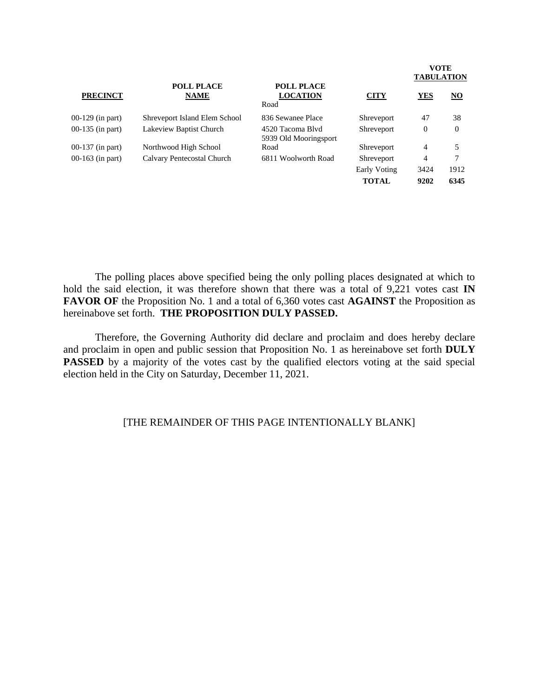| <b>PRECINCT</b>    | <b>POLL PLACE</b><br><b>NAME</b> | <b>POLL PLACE</b><br><b>LOCATION</b><br>Road | <b>CITY</b>  | <b>YES</b>     | <u>NO</u> |
|--------------------|----------------------------------|----------------------------------------------|--------------|----------------|-----------|
| $00-129$ (in part) | Shreveport Island Elem School    | 836 Sewanee Place                            | Shreveport   | 47             | 38        |
| $00-135$ (in part) | Lakeview Baptist Church          | 4520 Tacoma Blyd<br>5939 Old Mooringsport    | Shreveport   | 0              | $\theta$  |
| $00-137$ (in part) | Northwood High School            | Road                                         | Shreveport   | $\overline{4}$ | 5         |
| $00-163$ (in part) | Calvary Pentecostal Church       | 6811 Woolworth Road                          | Shreveport   | $\overline{4}$ | 7         |
|                    |                                  |                                              | Early Voting | 3424           | 1912      |
|                    |                                  |                                              | <b>TOTAL</b> | 9202           | 6345      |

The polling places above specified being the only polling places designated at which to hold the said election, it was therefore shown that there was a total of 9,221 votes cast **IN FAVOR OF** the Proposition No. 1 and a total of 6,360 votes cast **AGAINST** the Proposition as hereinabove set forth. **THE PROPOSITION DULY PASSED.**

Therefore, the Governing Authority did declare and proclaim and does hereby declare and proclaim in open and public session that Proposition No. 1 as hereinabove set forth **DULY PASSED** by a majority of the votes cast by the qualified electors voting at the said special election held in the City on Saturday, December 11, 2021.

# [THE REMAINDER OF THIS PAGE INTENTIONALLY BLANK]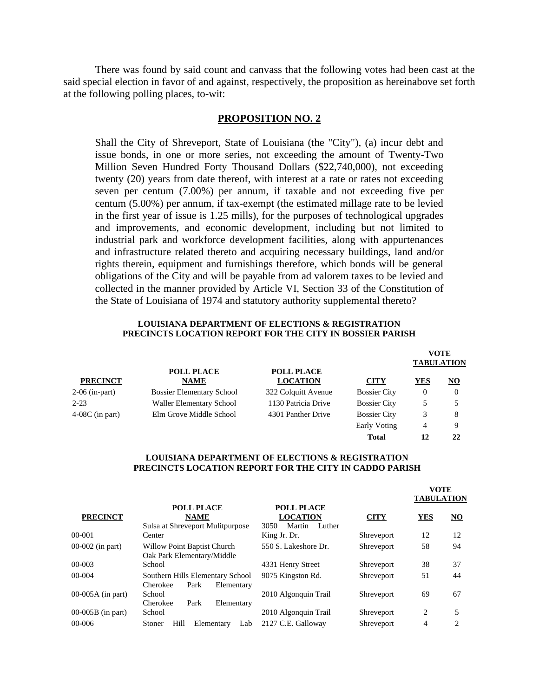There was found by said count and canvass that the following votes had been cast at the said special election in favor of and against, respectively, the proposition as hereinabove set forth at the following polling places, to-wit:

## **PROPOSITION NO. 2**

Shall the City of Shreveport, State of Louisiana (the "City"), (a) incur debt and issue bonds, in one or more series, not exceeding the amount of Twenty-Two Million Seven Hundred Forty Thousand Dollars (\$22,740,000), not exceeding twenty (20) years from date thereof, with interest at a rate or rates not exceeding seven per centum (7.00%) per annum, if taxable and not exceeding five per centum (5.00%) per annum, if tax-exempt (the estimated millage rate to be levied in the first year of issue is 1.25 mills), for the purposes of technological upgrades and improvements, and economic development, including but not limited to industrial park and workforce development facilities, along with appurtenances and infrastructure related thereto and acquiring necessary buildings, land and/or rights therein, equipment and furnishings therefore, which bonds will be general obligations of the City and will be payable from ad valorem taxes to be levied and collected in the manner provided by Article VI, Section 33 of the Constitution of the State of Louisiana of 1974 and statutory authority supplemental thereto?

#### **LOUISIANA DEPARTMENT OF ELECTIONS & REGISTRATION PRECINCTS LOCATION REPORT FOR THE CITY IN BOSSIER PARISH**

|                   |                                  |                                      |                     | <b>TABULATION</b> | <b>VOTE</b> |
|-------------------|----------------------------------|--------------------------------------|---------------------|-------------------|-------------|
| <b>PRECINCT</b>   | <b>POLL PLACE</b><br><b>NAME</b> | <b>POLL PLACE</b><br><b>LOCATION</b> | <b>CITY</b>         | YES               | <u>NO</u>   |
| $2-06$ (in-part)  | <b>Bossier Elementary School</b> | 322 Colquitt Avenue                  | <b>Bossier City</b> | 0                 |             |
| $2 - 23$          | <b>Waller Elementary School</b>  | 1130 Patricia Drive                  | <b>Bossier City</b> |                   |             |
| $4-08C$ (in part) | Elm Grove Middle School          | 4301 Panther Drive                   | <b>Bossier City</b> | 3                 | 8           |
|                   |                                  |                                      | Early Voting        | 4                 | 9           |
|                   |                                  |                                      | Total               | 12                | 22          |

#### **LOUISIANA DEPARTMENT OF ELECTIONS & REGISTRATION PRECINCTS LOCATION REPORT FOR THE CITY IN CADDO PARISH**

**VOTE**

|                     |                                                                      |                                                                  |             | VULE<br><b>TABULATION</b> |                           |
|---------------------|----------------------------------------------------------------------|------------------------------------------------------------------|-------------|---------------------------|---------------------------|
| <b>PRECINCT</b>     | <b>POLL PLACE</b><br><b>NAME</b><br>Sulsa at Shreveport Mulitpurpose | <b>POLL PLACE</b><br><b>LOCATION</b><br>Martin<br>Luther<br>3050 | <b>CITY</b> | <b>YES</b>                | $\underline{\mathrm{NO}}$ |
| 00-001              | Center                                                               | King Jr. Dr.                                                     | Shreveport  | 12                        | 12                        |
| $00-002$ (in part)  | <b>Willow Point Baptist Church</b><br>Oak Park Elementary/Middle     | 550 S. Lakeshore Dr.                                             | Shreveport  | 58                        | 94                        |
| 00-003              | School                                                               | 4331 Henry Street                                                | Shreveport  | 38                        | 37                        |
| 00-004              | Southern Hills Elementary School<br>Park<br>Cherokee<br>Elementary   | 9075 Kingston Rd.                                                | Shreveport  | 51                        | 44                        |
| $00-005A$ (in part) | School<br>Park<br>Cherokee<br>Elementary                             | 2010 Algonquin Trail                                             | Shreveport  | 69                        | 67                        |
| $00-005B$ (in part) | School                                                               | 2010 Algonquin Trail                                             | Shreveport  | 2                         | 5                         |
| $00 - 006$          | Hill<br>Stoner<br>Elementary<br>Lab                                  | 2127 C.E. Galloway                                               | Shreveport  | 4                         | 2                         |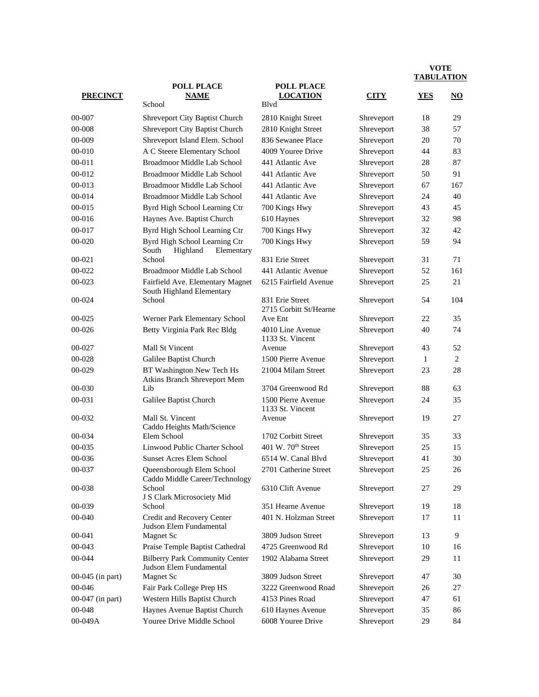|                  | <b>POLL PLACE</b>                                                | <b>POLL PLACE</b>                         |             |            |                     |
|------------------|------------------------------------------------------------------|-------------------------------------------|-------------|------------|---------------------|
| <b>PRECINCT</b>  | <b>NAME</b><br>School                                            | <b>LOCATION</b><br>Blyd                   | <b>CITY</b> | <b>YES</b> | $\overline{\bf NO}$ |
| 00-007           | Shreveport City Baptist Church                                   | 2810 Knight Street                        | Shreveport  | 18         | 29                  |
| 00-008           | Shreveport City Baptist Church                                   | 2810 Knight Street                        | Shreveport  | 38         | 57                  |
| 00-009           | Shreveport Island Elem. School                                   | 836 Sewanee Place                         | Shreveport  | 20         | 70                  |
| 00-010           | A C Steere Elementary School                                     | 4009 Youree Drive                         | Shreveport  | 44         | 83                  |
| $00 - 011$       | Broadmoor Middle Lab School                                      | 441 Atlantic Ave                          | Shreveport  | 28         | 87                  |
| 00-012           | Broadmoor Middle Lab School                                      | 441 Atlantic Ave                          | Shreveport  | 50         | 91                  |
| 00-013           | Broadmoor Middle Lab School                                      | 441 Atlantic Ave                          | Shreveport  | 67         | 167                 |
| 00-014           | Broadmoor Middle Lab School                                      | 441 Atlantic Ave                          | Shreveport  | 24         | 40                  |
| 00-015           | Byrd High School Learning Ctr                                    | 700 Kings Hwy                             | Shreveport  | 43         | 45                  |
| 00-016           | Haynes Ave. Baptist Church                                       | 610 Haynes                                | Shreveport  | 32         | 98                  |
| 00-017           | Byrd High School Learning Ctr                                    | 700 Kings Hwy                             | Shreveport  | 32         | 42                  |
| 00-020           | Byrd High School Learning Ctr                                    | 700 Kings Hwy                             | Shreveport  | 59         | 94                  |
|                  | South<br>Highland<br>Elementary                                  |                                           |             |            |                     |
| 00-021           | School                                                           | 831 Erie Street                           | Shreveport  | 31         | 71                  |
| 00-022           | Broadmoor Middle Lab School                                      | 441 Atlantic Avenue                       | Shreveport  | 52         | 161                 |
| 00-023           | Fairfield Ave. Elementary Magnet<br>South Highland Elementary    | 6215 Fairfield Avenue                     | Shreveport  | 25         | 21                  |
| 00-024           | School                                                           | 831 Erie Street<br>2715 Corbitt St/Hearne | Shreveport  | 54         | 104                 |
| $00 - 025$       | Werner Park Elementary School                                    | Ave Ent                                   | Shreveport  | 22         | 35                  |
| 00-026           | Betty Virginia Park Rec Bldg                                     | 4010 Line Avenue<br>1133 St. Vincent      | Shreveport  | 40         | 74                  |
| 00-027           | Mall St Vincent                                                  | Avenue                                    | Shreveport  | 43         | 52                  |
| 00-028           | Galilee Baptist Church                                           | 1500 Pierre Avenue                        | Shreveport  | 1          | $\overline{c}$      |
| 00-029           | BT Washington New Tech Hs<br>Atkins Branch Shreveport Mem        | 21004 Milam Street                        | Shreveport  | 23         | 28                  |
| 00-030           | Lib                                                              | 3704 Greenwood Rd                         | Shreveport  | 88         | 63                  |
| 00-031           | Galilee Baptist Church                                           | 1500 Pierre Avenue<br>1133 St. Vincent    | Shreveport  | 24         | 35                  |
| 00-032           | Mall St. Vincent<br>Caddo Heights Math/Science                   | Avenue                                    | Shreveport  | 19         | 27                  |
| 00-034           | Elem School                                                      | 1702 Corbitt Street                       | Shreveport  | 35         | 33                  |
| 00-035           | Linwood Public Charter School                                    | 401 W. $70th$ Street                      | Shreveport  | 25         | 15                  |
| 00-036           | <b>Sunset Acres Elem School</b>                                  | 6514 W. Canal Blvd                        | Shreveport  | 41         | 30                  |
| 00-037           | Queensborough Elem School<br>Caddo Middle Career/Technology      | 2701 Catherine Street                     | Shreveport  | 25         | 26                  |
| 00-038           | School<br>J S Clark Microsociety Mid                             | 6310 Clift Avenue                         | Shreveport  | 27         | 29                  |
| 00-039           | School                                                           | 351 Hearne Avenue                         | Shreveport  | 19         | 18                  |
| 00-040           | Credit and Recovery Center<br>Judson Elem Fundamental            | 401 N. Holzman Street                     | Shreveport  | 17         | 11                  |
| 00-041           | Magnet Sc                                                        | 3809 Judson Street                        | Shreveport  | 13         | 9                   |
| 00-043           | Praise Temple Baptist Cathedral                                  | 4725 Greenwood Rd                         | Shreveport  | 10         | 16                  |
| 00-044           | <b>Bilberry Park Community Center</b><br>Judson Elem Fundamental | 1902 Alabama Street                       | Shreveport  | 29         | 11                  |
| 00-045 (in part) | <b>Magnet Sc</b>                                                 | 3809 Judson Street                        | Shreveport  | 47         | 30                  |
| 00-046           | Fair Park College Prep HS                                        | 3222 Greenwood Road                       | Shreveport  | 26         | 27                  |
| 00-047 (in part) | Western Hills Baptist Church                                     | 4153 Pines Road                           | Shreveport  | 47         | 61                  |
| 00-048           | Haynes Avenue Baptist Church                                     | 610 Haynes Avenue                         | Shreveport  | 35         | 86                  |
| 00-049A          | Youree Drive Middle School                                       | 6008 Youree Drive                         | Shreveport  | 29         | 84                  |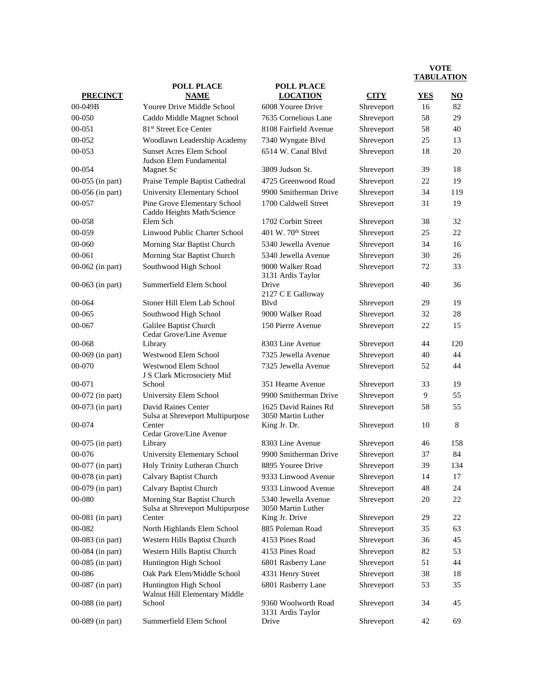| <b>PRECINCT</b>    | <b>POLL PLACE</b><br><b>NAME</b>                                | <b>POLL PLACE</b><br><b>LOCATION</b>       | <b>CITY</b> | <b>YES</b> | $\overline{\bf NO}$ |
|--------------------|-----------------------------------------------------------------|--------------------------------------------|-------------|------------|---------------------|
| $00 - 049B$        | Youree Drive Middle School                                      | 6008 Youree Drive                          |             |            | 82                  |
|                    |                                                                 |                                            | Shreveport  | 16         | 29                  |
| 00-050             | Caddo Middle Magnet School                                      | 7635 Cornelious Lane                       | Shreveport  | 58         |                     |
| 00-051<br>00-052   | 81 <sup>st</sup> Street Ece Center                              | 8108 Fairfield Avenue                      | Shreveport  | 58         | 40<br>13            |
|                    | Woodlawn Leadership Academy                                     | 7340 Wyngate Blvd                          | Shreveport  | 25         |                     |
| 00-053             | <b>Sunset Acres Elem School</b><br>Judson Elem Fundamental      | 6514 W. Canal Blvd                         | Shreveport  | 18         | 20                  |
| 00-054             | <b>Magnet Sc</b>                                                | 3809 Judson St.                            | Shreveport  | 39         | 18                  |
| 00-055 (in part)   | Praise Temple Baptist Cathedral                                 | 4725 Greenwood Road                        | Shreveport  | 22         | 19                  |
| 00-056 (in part)   | University Elementary School                                    | 9900 Smitherman Drive                      | Shreveport  | 34         | 119                 |
| 00-057             | Pine Grove Elementary School<br>Caddo Heights Math/Science      | 1700 Caldwell Street                       | Shreveport  | 31         | 19                  |
| 00-058             | Elem Sch                                                        | 1702 Corbitt Street                        | Shreveport  | 38         | 32                  |
| 00-059             | Linwood Public Charter School                                   | 401 W. $70th$ Street                       | Shreveport  | 25         | 22                  |
| 00-060             | Morning Star Baptist Church                                     | 5340 Jewella Avenue                        | Shreveport  | 34         | 16                  |
| $00 - 061$         | Morning Star Baptist Church                                     | 5340 Jewella Avenue                        | Shreveport  | 30         | 26                  |
| 00-062 (in part)   | Southwood High School                                           | 9000 Walker Road<br>3131 Ardis Taylor      | Shreveport  | 72         | 33                  |
| 00-063 (in part)   | Summerfield Elem School                                         | Drive<br>2127 C E Galloway                 | Shreveport  | 40         | 36                  |
| 00-064             | Stoner Hill Elem Lab School                                     | Blyd                                       | Shreveport  | 29         | 19                  |
| 00-065             | Southwood High School                                           | 9000 Walker Road                           | Shreveport  | 32         | 28                  |
| 00-067             | Galilee Baptist Church<br>Cedar Grove/Line Avenue               | 150 Pierre Avenue                          | Shreveport  | 22         | 15                  |
| 00-068             | Library                                                         | 8303 Line Avenue                           | Shreveport  | 44         | 120                 |
| 00-069 (in part)   | Westwood Elem School                                            | 7325 Jewella Avenue                        | Shreveport  | 40         | 44                  |
| 00-070             | Westwood Elem School<br>J S Clark Microsociety Mid              | 7325 Jewella Avenue                        | Shreveport  | 52         | 44                  |
| 00-071             | School                                                          | 351 Hearne Avenue                          | Shreveport  | 33         | 19                  |
| 00-072 (in part)   | University Elem School                                          | 9900 Smitherman Drive                      | Shreveport  | 9          | 55                  |
| 00-073 (in part)   | David Raines Center<br>Sulsa at Shreveport Multipurpose         | 1625 David Raines Rd<br>3050 Martin Luther | Shreveport  | 58         | 55                  |
| 00-074             | Center<br>Cedar Grove/Line Avenue                               | King Jr. Dr.                               | Shreveport  | 10         | 8                   |
| $00-075$ (in part) | Library                                                         | 8303 Line Avenue                           | Shreveport  | 46         | 158                 |
| 00-076             | University Elementary School                                    | 9900 Smitherman Drive                      | Shreveport  | 37         | 84                  |
| 00-077 (in part)   | Holy Trinity Lutheran Church                                    | 8895 Youree Drive                          | Shreveport  | 39         | 134                 |
| 00-078 (in part)   | Calvary Baptist Church                                          | 9333 Linwood Avenue                        | Shreveport  | 14         | 17                  |
| 00-079 (in part)   | Calvary Baptist Church                                          | 9333 Linwood Avenue                        | Shreveport  | 48         | 24                  |
| 00-080             | Morning Star Baptist Church<br>Sulsa at Shreveport Multipurpose | 5340 Jewella Avenue<br>3050 Martin Luther  | Shreveport  | 20         | 22                  |
| $00-081$ (in part) | Center                                                          | King Jr. Drive                             | Shreveport  | 29         | 22                  |
| 00-082             | North Highlands Elem School                                     | 885 Poleman Road                           | Shreveport  | 35         | 63                  |
| 00-083 (in part)   | Western Hills Baptist Church                                    | 4153 Pines Road                            | Shreveport  | 36         | 45                  |
| 00-084 (in part)   | Western Hills Baptist Church                                    | 4153 Pines Road                            | Shreveport  | 82         | 53                  |
| 00-085 (in part)   | Huntington High School                                          | 6801 Rasberry Lane                         | Shreveport  | 51         | 44                  |
| 00-086             | Oak Park Elem/Middle School                                     | 4331 Henry Street                          | Shreveport  | 38         | 18                  |
| 00-087 (in part)   | Huntington High School<br>Walnut Hill Elementary Middle         | 6801 Rasberry Lane                         | Shreveport  | 53         | 35                  |
| 00-088 (in part)   | School                                                          | 9360 Woolworth Road<br>3131 Ardis Taylor   | Shreveport  | 34         | 45                  |
| 00-089 (in part)   | Summerfield Elem School                                         | Drive                                      | Shreveport  | 42         | 69                  |
|                    |                                                                 |                                            |             |            |                     |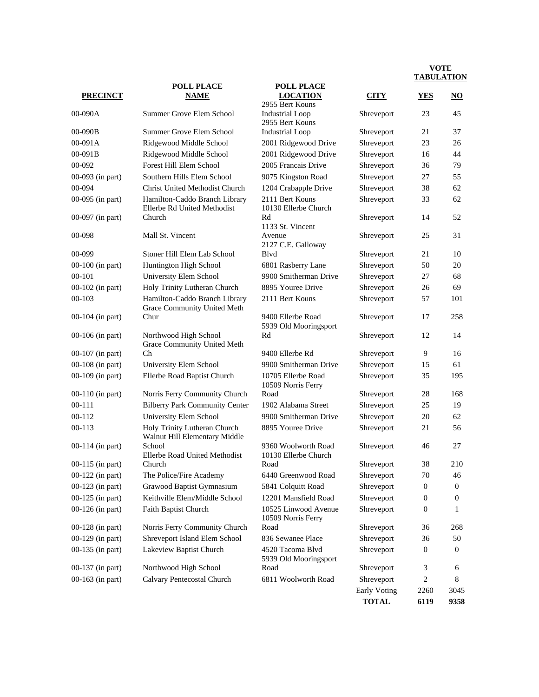|                    | <b>POLL PLACE</b>                                             | <b>POLL PLACE</b>                                |                              |                  |                  |
|--------------------|---------------------------------------------------------------|--------------------------------------------------|------------------------------|------------------|------------------|
| <b>PRECINCT</b>    | <b>NAME</b>                                                   | <b>LOCATION</b>                                  | <b>CITY</b>                  | <b>YES</b>       | NO               |
| 00-090A            | Summer Grove Elem School                                      | 2955 Bert Kouns<br><b>Industrial Loop</b>        | Shreveport                   | 23               | 45               |
|                    |                                                               | 2955 Bert Kouns                                  |                              |                  |                  |
| $00-090B$          | Summer Grove Elem School                                      | <b>Industrial Loop</b>                           | Shreveport                   | 21               | 37               |
| 00-091A            | Ridgewood Middle School                                       | 2001 Ridgewood Drive                             | Shreveport                   | 23               | 26               |
| 00-091B            | Ridgewood Middle School                                       | 2001 Ridgewood Drive                             | Shreveport                   | 16               | 44               |
| 00-092             | Forest Hill Elem School                                       | 2005 Francais Drive                              | Shreveport                   | 36               | 79               |
| 00-093 (in part)   | Southern Hills Elem School                                    | 9075 Kingston Road                               | Shreveport                   | 27               | 55               |
| 00-094             | <b>Christ United Methodist Church</b>                         | 1204 Crabapple Drive                             | Shreveport                   | 38               | 62               |
| 00-095 (in part)   | Hamilton-Caddo Branch Library<br>Ellerbe Rd United Methodist  | 2111 Bert Kouns<br>10130 Ellerbe Church          | Shreveport                   | 33               | 62               |
| 00-097 (in part)   | Church                                                        | Rd                                               | Shreveport                   | 14               | 52               |
| 00-098             | Mall St. Vincent                                              | 1133 St. Vincent<br>Avenue<br>2127 C.E. Galloway | Shreveport                   | 25               | 31               |
| 00-099             | Stoner Hill Elem Lab School                                   | Blyd                                             | Shreveport                   | 21               | 10               |
| 00-100 (in part)   | Huntington High School                                        | 6801 Rasberry Lane                               | Shreveport                   | 50               | 20               |
| $00 - 101$         | University Elem School                                        | 9900 Smitherman Drive                            | Shreveport                   | 27               | 68               |
| 00-102 (in part)   | Holy Trinity Lutheran Church                                  | 8895 Youree Drive                                | Shreveport                   | 26               | 69               |
| $00 - 103$         | Hamilton-Caddo Branch Library<br>Grace Community United Meth  | 2111 Bert Kouns                                  | Shreveport                   | 57               | 101              |
| 00-104 (in part)   | Chur                                                          | 9400 Ellerbe Road<br>5939 Old Mooringsport       | Shreveport                   | 17               | 258              |
| 00-106 (in part)   | Northwood High School<br>Grace Community United Meth          | Rd                                               | Shreveport                   | 12               | 14               |
| $00-107$ (in part) | Ch                                                            | 9400 Ellerbe Rd                                  | Shreveport                   | 9                | 16               |
| 00-108 (in part)   | University Elem School                                        | 9900 Smitherman Drive                            | Shreveport                   | 15               | 61               |
| 00-109 (in part)   | Ellerbe Road Baptist Church                                   | 10705 Ellerbe Road<br>10509 Norris Ferry         | Shreveport                   | 35               | 195              |
| $00-110$ (in part) | Norris Ferry Community Church                                 | Road                                             | Shreveport                   | 28               | 168              |
| $00 - 111$         | <b>Bilberry Park Community Center</b>                         | 1902 Alabama Street                              | Shreveport                   | 25               | 19               |
| 00-112             | University Elem School                                        | 9900 Smitherman Drive                            | Shreveport                   | 20               | 62               |
| 00-113             | Holy Trinity Lutheran Church<br>Walnut Hill Elementary Middle | 8895 Youree Drive                                | Shreveport                   | 21               | 56               |
| $00-114$ (in part) | School<br>Ellerbe Road United Methodist                       | 9360 Woolworth Road<br>10130 Ellerbe Church      | Shreveport                   | 46               | 27               |
| $00-115$ (in part) | Church                                                        | Road                                             | Shreveport                   | 38               | 210              |
| $00-122$ (in part) | The Police/Fire Academy                                       | 6440 Greenwood Road                              | Shreveport                   | 70               | 46               |
| 00-123 (in part)   | Grawood Baptist Gymnasium                                     | 5841 Colquitt Road                               | Shreveport                   | $\boldsymbol{0}$ | $\boldsymbol{0}$ |
| 00-125 (in part)   | Keithville Elem/Middle School                                 | 12201 Mansfield Road                             | Shreveport                   | 0                | 0                |
| 00-126 (in part)   | Faith Baptist Church                                          | 10525 Linwood Avenue<br>10509 Norris Ferry       | Shreveport                   | $\boldsymbol{0}$ | 1                |
| 00-128 (in part)   | Norris Ferry Community Church                                 | Road                                             | Shreveport                   | 36               | 268              |
| 00-129 (in part)   | Shreveport Island Elem School                                 | 836 Sewanee Place                                | Shreveport                   | 36               | 50               |
| 00-135 (in part)   | Lakeview Baptist Church                                       | 4520 Tacoma Blvd<br>5939 Old Mooringsport        | Shreveport                   | 0                | $\boldsymbol{0}$ |
| 00-137 (in part)   | Northwood High School                                         | Road                                             | Shreveport                   | 3                | 6                |
| 00-163 (in part)   | Calvary Pentecostal Church                                    | 6811 Woolworth Road                              | Shreveport                   | 2                | 8                |
|                    |                                                               |                                                  | Early Voting<br><b>TOTAL</b> | 2260<br>6119     | 3045<br>9358     |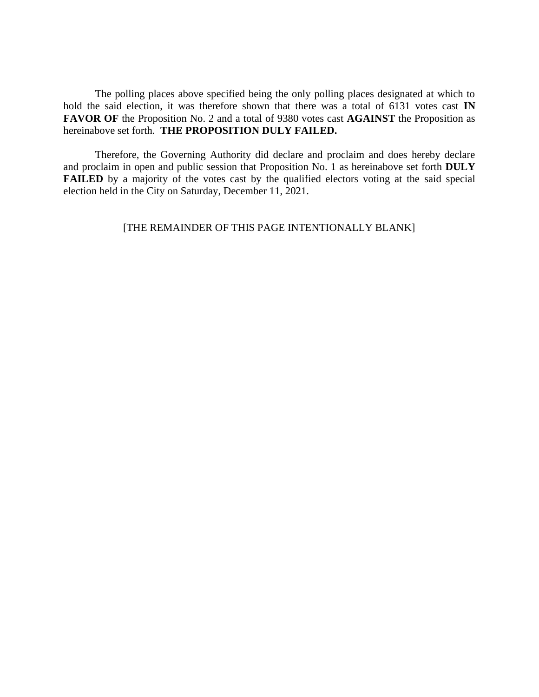The polling places above specified being the only polling places designated at which to hold the said election, it was therefore shown that there was a total of 6131 votes cast **IN FAVOR OF** the Proposition No. 2 and a total of 9380 votes cast **AGAINST** the Proposition as hereinabove set forth. **THE PROPOSITION DULY FAILED.**

Therefore, the Governing Authority did declare and proclaim and does hereby declare and proclaim in open and public session that Proposition No. 1 as hereinabove set forth **DULY FAILED** by a majority of the votes cast by the qualified electors voting at the said special election held in the City on Saturday, December 11, 2021.

# [THE REMAINDER OF THIS PAGE INTENTIONALLY BLANK]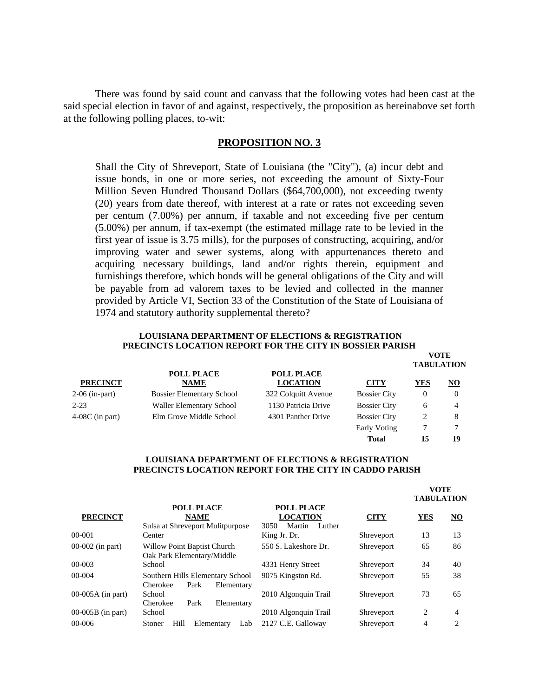There was found by said count and canvass that the following votes had been cast at the said special election in favor of and against, respectively, the proposition as hereinabove set forth at the following polling places, to-wit:

#### **PROPOSITION NO. 3**

Shall the City of Shreveport, State of Louisiana (the "City"), (a) incur debt and issue bonds, in one or more series, not exceeding the amount of Sixty-Four Million Seven Hundred Thousand Dollars (\$64,700,000), not exceeding twenty (20) years from date thereof, with interest at a rate or rates not exceeding seven per centum (7.00%) per annum, if taxable and not exceeding five per centum (5.00%) per annum, if tax-exempt (the estimated millage rate to be levied in the first year of issue is 3.75 mills), for the purposes of constructing, acquiring, and/or improving water and sewer systems, along with appurtenances thereto and acquiring necessary buildings, land and/or rights therein, equipment and furnishings therefore, which bonds will be general obligations of the City and will be payable from ad valorem taxes to be levied and collected in the manner provided by Article VI, Section 33 of the Constitution of the State of Louisiana of 1974 and statutory authority supplemental thereto?

#### **LOUISIANA DEPARTMENT OF ELECTIONS & REGISTRATION PRECINCTS LOCATION REPORT FOR THE CITY IN BOSSIER PARISH**

**VOTE**

**Total 15 19**

| <b>PRECINCT</b>   |                                  |                                      |                     | <b>TABULATION</b> |    |  |
|-------------------|----------------------------------|--------------------------------------|---------------------|-------------------|----|--|
|                   | <b>POLL PLACE</b><br><b>NAME</b> | <b>POLL PLACE</b><br><b>LOCATION</b> | <b>CITY</b>         | YES               | NO |  |
| 2-06 (in-part)    | <b>Bossier Elementary School</b> | 322 Colquitt Avenue                  | <b>Bossier City</b> | $\theta$          |    |  |
| $2 - 23$          | Waller Elementary School         | 1130 Patricia Drive                  | <b>Bossier City</b> | 6                 |    |  |
| $4-08C$ (in part) | Elm Grove Middle School          | 4301 Panther Drive                   | <b>Bossier City</b> |                   | 8  |  |
|                   |                                  |                                      | Early Voting        |                   |    |  |

#### **LOUISIANA DEPARTMENT OF ELECTIONS & REGISTRATION PRECINCTS LOCATION REPORT FOR THE CITY IN CADDO PARISH**

|                     |                                                                      |                                                                  |             | <b>VOTE</b><br><b>TABULATION</b> |    |
|---------------------|----------------------------------------------------------------------|------------------------------------------------------------------|-------------|----------------------------------|----|
| <b>PRECINCT</b>     | <b>POLL PLACE</b><br><b>NAME</b><br>Sulsa at Shreveport Mulitpurpose | <b>POLL PLACE</b><br><b>LOCATION</b><br>Martin<br>3050<br>Luther | <b>CITY</b> | <b>YES</b>                       | NO |
| 00-001              | Center                                                               | King Jr. Dr.                                                     | Shreveport  | 13                               | 13 |
| 00-002 (in part)    | Willow Point Baptist Church<br>Oak Park Elementary/Middle            | 550 S. Lakeshore Dr.                                             | Shreveport  | 65                               | 86 |
| 00-003              | School                                                               | 4331 Henry Street                                                | Shreveport  | 34                               | 40 |
| 00-004              | Southern Hills Elementary School<br>Cherokee<br>Park<br>Elementary   | 9075 Kingston Rd.                                                | Shreveport  | 55                               | 38 |
| $00-005A$ (in part) | School<br>Park<br>Cherokee<br>Elementary                             | 2010 Algonquin Trail                                             | Shreveport  | 73                               | 65 |
| $00-005B$ (in part) | School                                                               | 2010 Algonquin Trail                                             | Shreveport  | 2                                | 4  |
| $00 - 006$          | Hill<br>Elementary<br>Lab<br>Stoner                                  | 2127 C.E. Galloway                                               | Shreveport  | 4                                | 2  |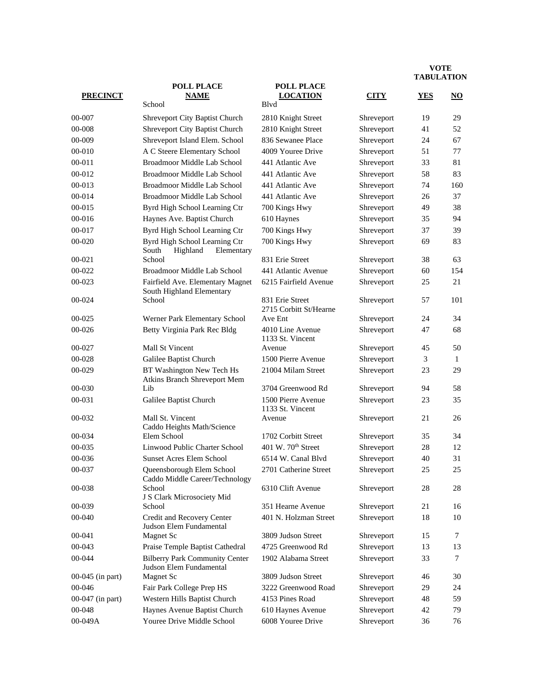|                  |                                                                  |                                              |             | <b>IADULATION</b> |                     |
|------------------|------------------------------------------------------------------|----------------------------------------------|-------------|-------------------|---------------------|
| <b>PRECINCT</b>  | <b>POLL PLACE</b><br><b>NAME</b><br>School                       | <b>POLL PLACE</b><br><b>LOCATION</b><br>Blyd | <b>CITY</b> | <b>YES</b>        | $\overline{\bf NO}$ |
| 00-007           | Shreveport City Baptist Church                                   | 2810 Knight Street                           | Shreveport  | 19                | 29                  |
| 00-008           | Shreveport City Baptist Church                                   | 2810 Knight Street                           | Shreveport  | 41                | 52                  |
| 00-009           | Shreveport Island Elem. School                                   | 836 Sewanee Place                            | Shreveport  | 24                | 67                  |
| 00-010           | A C Steere Elementary School                                     | 4009 Youree Drive                            | Shreveport  | 51                | 77                  |
| $00 - 011$       | Broadmoor Middle Lab School                                      | 441 Atlantic Ave                             | Shreveport  | 33                | 81                  |
| 00-012           | Broadmoor Middle Lab School                                      | 441 Atlantic Ave                             | Shreveport  | 58                | 83                  |
| 00-013           | Broadmoor Middle Lab School                                      | 441 Atlantic Ave                             | Shreveport  | 74                | 160                 |
| 00-014           | Broadmoor Middle Lab School                                      | 441 Atlantic Ave                             | Shreveport  | 26                | 37                  |
| 00-015           | Byrd High School Learning Ctr                                    | 700 Kings Hwy                                | Shreveport  | 49                | 38                  |
| 00-016           | Haynes Ave. Baptist Church                                       | 610 Haynes                                   | Shreveport  | 35                | 94                  |
| 00-017           | Byrd High School Learning Ctr                                    | 700 Kings Hwy                                | Shreveport  | 37                | 39                  |
| 00-020           | Byrd High School Learning Ctr                                    | 700 Kings Hwy                                | Shreveport  | 69                | 83                  |
| $00 - 021$       | South<br>Highland<br>Elementary<br>School                        | 831 Erie Street                              | Shreveport  | 38                | 63                  |
| 00-022           | Broadmoor Middle Lab School                                      | 441 Atlantic Avenue                          | Shreveport  | 60                | 154                 |
| 00-023           |                                                                  | 6215 Fairfield Avenue                        |             | 25                | 21                  |
|                  | Fairfield Ave. Elementary Magnet<br>South Highland Elementary    |                                              | Shreveport  |                   |                     |
| 00-024           | School                                                           | 831 Erie Street<br>2715 Corbitt St/Hearne    | Shreveport  | 57                | 101                 |
| 00-025           | Werner Park Elementary School                                    | Ave Ent                                      | Shreveport  | 24                | 34                  |
| 00-026           | Betty Virginia Park Rec Bldg                                     | 4010 Line Avenue<br>1133 St. Vincent         | Shreveport  | 47                | 68                  |
| 00-027           | Mall St Vincent                                                  | Avenue                                       | Shreveport  | 45                | 50                  |
| 00-028           | Galilee Baptist Church                                           | 1500 Pierre Avenue                           | Shreveport  | 3                 | $\mathbf{1}$        |
| 00-029           | BT Washington New Tech Hs<br>Atkins Branch Shreveport Mem        | 21004 Milam Street                           | Shreveport  | 23                | 29                  |
| 00-030           | Lib                                                              | 3704 Greenwood Rd                            | Shreveport  | 94                | 58                  |
| 00-031           | Galilee Baptist Church                                           | 1500 Pierre Avenue<br>1133 St. Vincent       | Shreveport  | 23                | 35                  |
| 00-032           | Mall St. Vincent<br>Caddo Heights Math/Science                   | Avenue                                       | Shreveport  | 21                | 26                  |
| 00-034           | Elem School                                                      | 1702 Corbitt Street                          | Shreveport  | 35                | 34                  |
| 00-035           | Linwood Public Charter School                                    | 401 W. 70 <sup>th</sup> Street               | Shreveport  | 28                | 12                  |
| 00-036           | <b>Sunset Acres Elem School</b>                                  | 6514 W. Canal Blvd                           | Shreveport  | 40                | 31                  |
| 00-037           | Queensborough Elem School<br>Caddo Middle Career/Technology      | 2701 Catherine Street                        | Shreveport  | 25                | 25                  |
| 00-038           | School<br>J S Clark Microsociety Mid                             | 6310 Clift Avenue                            | Shreveport  | 28                | 28                  |
| 00-039           | School                                                           | 351 Hearne Avenue                            | Shreveport  | 21                | 16                  |
| 00-040           | Credit and Recovery Center<br>Judson Elem Fundamental            | 401 N. Holzman Street                        | Shreveport  | 18                | 10                  |
| 00-041           | Magnet Sc                                                        | 3809 Judson Street                           | Shreveport  | 15                | 7                   |
| 00-043           | Praise Temple Baptist Cathedral                                  | 4725 Greenwood Rd                            | Shreveport  | 13                | 13                  |
| 00-044           | <b>Bilberry Park Community Center</b><br>Judson Elem Fundamental | 1902 Alabama Street                          | Shreveport  | 33                | $\tau$              |
| 00-045 (in part) | <b>Magnet Sc</b>                                                 | 3809 Judson Street                           | Shreveport  | 46                | 30                  |
| 00-046           | Fair Park College Prep HS                                        | 3222 Greenwood Road                          | Shreveport  | 29                | 24                  |
| 00-047 (in part) | Western Hills Baptist Church                                     | 4153 Pines Road                              | Shreveport  | 48                | 59                  |
| 00-048           | Haynes Avenue Baptist Church                                     | 610 Haynes Avenue                            | Shreveport  | 42                | 79                  |
| 00-049A          | Youree Drive Middle School                                       | 6008 Youree Drive                            | Shreveport  | 36                | 76                  |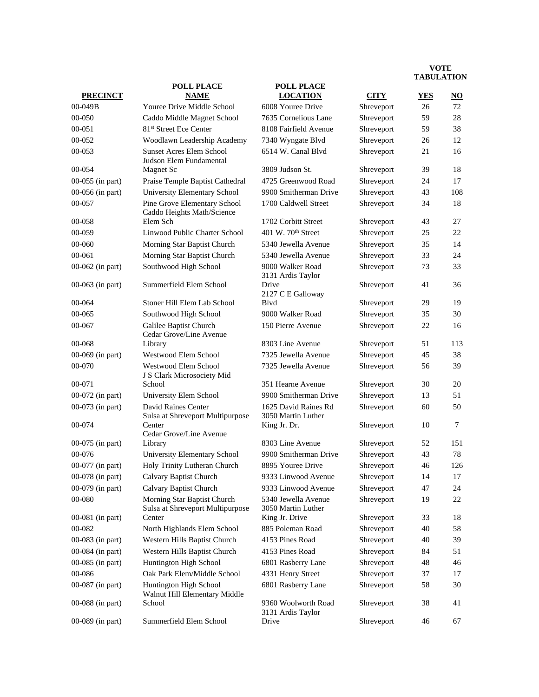|                    |                                                                 |                                            |             | <b>TADULATIO</b> |                        |
|--------------------|-----------------------------------------------------------------|--------------------------------------------|-------------|------------------|------------------------|
| <b>PRECINCT</b>    | <b>POLL PLACE</b><br><b>NAME</b>                                | <b>POLL PLACE</b><br><b>LOCATION</b>       | <b>CITY</b> | <b>YES</b>       | $\overline{\text{NO}}$ |
| 00-049B            | Youree Drive Middle School                                      | 6008 Youree Drive                          | Shreveport  | 26               | 72                     |
| 00-050             | Caddo Middle Magnet School                                      | 7635 Cornelious Lane                       | Shreveport  | 59               | 28                     |
| 00-051             | 81 <sup>st</sup> Street Ece Center                              | 8108 Fairfield Avenue                      | Shreveport  | 59               | 38                     |
| 00-052             | Woodlawn Leadership Academy                                     | 7340 Wyngate Blvd                          | Shreveport  | 26               | 12                     |
| 00-053             | <b>Sunset Acres Elem School</b><br>Judson Elem Fundamental      | 6514 W. Canal Blvd                         | Shreveport  | 21               | 16                     |
| 00-054             | <b>Magnet Sc</b>                                                | 3809 Judson St.                            | Shreveport  | 39               | 18                     |
| 00-055 (in part)   | Praise Temple Baptist Cathedral                                 | 4725 Greenwood Road                        | Shreveport  | 24               | 17                     |
| 00-056 (in part)   | University Elementary School                                    | 9900 Smitherman Drive                      | Shreveport  | 43               | 108                    |
| 00-057             | Pine Grove Elementary School<br>Caddo Heights Math/Science      | 1700 Caldwell Street                       | Shreveport  | 34               | 18                     |
| 00-058             | Elem Sch                                                        | 1702 Corbitt Street                        | Shreveport  | 43               | 27                     |
| 00-059             | Linwood Public Charter School                                   | 401 W. 70 <sup>th</sup> Street             | Shreveport  | 25               | 22                     |
| 00-060             | Morning Star Baptist Church                                     | 5340 Jewella Avenue                        | Shreveport  | 35               | 14                     |
| 00-061             | Morning Star Baptist Church                                     | 5340 Jewella Avenue                        | Shreveport  | 33               | 24                     |
| $00-062$ (in part) | Southwood High School                                           | 9000 Walker Road<br>3131 Ardis Taylor      | Shreveport  | 73               | 33                     |
| $00-063$ (in part) | Summerfield Elem School                                         | Drive<br>2127 C E Galloway                 | Shreveport  | 41               | 36                     |
| 00-064             | Stoner Hill Elem Lab School                                     | Blvd                                       | Shreveport  | 29               | 19                     |
| 00-065             | Southwood High School                                           | 9000 Walker Road                           | Shreveport  | 35               | 30                     |
| 00-067             | Galilee Baptist Church<br>Cedar Grove/Line Avenue               | 150 Pierre Avenue                          | Shreveport  | 22               | 16                     |
| 00-068             | Library                                                         | 8303 Line Avenue                           | Shreveport  | 51               | 113                    |
| 00-069 (in part)   | Westwood Elem School                                            | 7325 Jewella Avenue                        | Shreveport  | 45               | 38                     |
| 00-070             | Westwood Elem School<br>J S Clark Microsociety Mid              | 7325 Jewella Avenue                        | Shreveport  | 56               | 39                     |
| 00-071             | School                                                          | 351 Hearne Avenue                          | Shreveport  | 30               | 20                     |
| 00-072 (in part)   | University Elem School                                          | 9900 Smitherman Drive                      | Shreveport  | 13               | 51                     |
| 00-073 (in part)   | David Raines Center<br>Sulsa at Shreveport Multipurpose         | 1625 David Raines Rd<br>3050 Martin Luther | Shreveport  | 60               | 50                     |
| 00-074             | Center<br>Cedar Grove/Line Avenue                               | King Jr. Dr.                               | Shreveport  | 10               | 7                      |
| $00-075$ (in part) | Library                                                         | 8303 Line Avenue                           | Shreveport  | 52               | 151                    |
| 00-076             | University Elementary School                                    | 9900 Smitherman Drive                      | Shreveport  | 43               | 78                     |
| 00-077 (in part)   | Holy Trinity Lutheran Church                                    | 8895 Youree Drive                          | Shreveport  | 46               | 126                    |
| 00-078 (in part)   | Calvary Baptist Church                                          | 9333 Linwood Avenue                        | Shreveport  | 14               | 17                     |
| 00-079 (in part)   | Calvary Baptist Church                                          | 9333 Linwood Avenue                        | Shreveport  | 47               | 24                     |
| 00-080             | Morning Star Baptist Church<br>Sulsa at Shreveport Multipurpose | 5340 Jewella Avenue<br>3050 Martin Luther  | Shreveport  | 19               | 22                     |
| 00-081 (in part)   | Center                                                          | King Jr. Drive                             | Shreveport  | 33               | 18                     |
| 00-082             | North Highlands Elem School                                     | 885 Poleman Road                           | Shreveport  | 40               | 58                     |
| 00-083 (in part)   | Western Hills Baptist Church                                    | 4153 Pines Road                            | Shreveport  | 40               | 39                     |
| 00-084 (in part)   | Western Hills Baptist Church                                    | 4153 Pines Road                            | Shreveport  | 84               | 51                     |
| 00-085 (in part)   | Huntington High School                                          | 6801 Rasberry Lane                         | Shreveport  | 48               | 46                     |
| 00-086             | Oak Park Elem/Middle School                                     | 4331 Henry Street                          | Shreveport  | 37               | 17                     |
| 00-087 (in part)   | Huntington High School<br>Walnut Hill Elementary Middle         | 6801 Rasberry Lane                         | Shreveport  | 58               | 30                     |
| 00-088 (in part)   | School                                                          | 9360 Woolworth Road<br>3131 Ardis Taylor   | Shreveport  | 38               | 41                     |
| 00-089 (in part)   | Summerfield Elem School                                         | Drive                                      | Shreveport  | 46               | 67                     |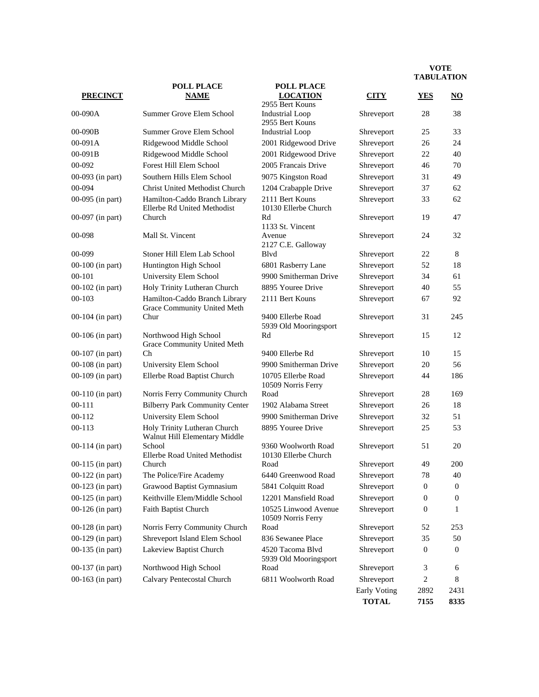**TOTAL 7155 8335**

|                    | <b>POLL PLACE</b>                                             | <b>POLL PLACE</b>                           |              |                  |                     |
|--------------------|---------------------------------------------------------------|---------------------------------------------|--------------|------------------|---------------------|
| <b>PRECINCT</b>    | <b>NAME</b>                                                   | <b>LOCATION</b>                             | <b>CITY</b>  | <b>YES</b>       | $\overline{\bf NO}$ |
| $00-090A$          |                                                               | 2955 Bert Kouns                             |              |                  |                     |
|                    | Summer Grove Elem School                                      | <b>Industrial Loop</b><br>2955 Bert Kouns   | Shreveport   | 28               | 38                  |
| 00-090B            | Summer Grove Elem School                                      | Industrial Loop                             | Shreveport   | 25               | 33                  |
| 00-091A            | Ridgewood Middle School                                       | 2001 Ridgewood Drive                        | Shreveport   | 26               | 24                  |
| 00-091B            | Ridgewood Middle School                                       | 2001 Ridgewood Drive                        | Shreveport   | 22               | 40                  |
| 00-092             | Forest Hill Elem School                                       | 2005 Francais Drive                         | Shreveport   | 46               | 70                  |
| 00-093 (in part)   | Southern Hills Elem School                                    | 9075 Kingston Road                          | Shreveport   | 31               | 49                  |
| 00-094             | <b>Christ United Methodist Church</b>                         | 1204 Crabapple Drive                        | Shreveport   | 37               | 62                  |
| 00-095 (in part)   | Hamilton-Caddo Branch Library<br>Ellerbe Rd United Methodist  | 2111 Bert Kouns<br>10130 Ellerbe Church     | Shreveport   | 33               | 62                  |
| 00-097 (in part)   | Church                                                        | Rd<br>1133 St. Vincent                      | Shreveport   | 19               | 47                  |
| 00-098             | Mall St. Vincent                                              | Avenue<br>2127 C.E. Galloway                | Shreveport   | 24               | 32                  |
| 00-099             | Stoner Hill Elem Lab School                                   | Blyd                                        | Shreveport   | 22               | 8                   |
| 00-100 (in part)   | Huntington High School                                        | 6801 Rasberry Lane                          | Shreveport   | 52               | 18                  |
| $00 - 101$         | University Elem School                                        | 9900 Smitherman Drive                       | Shreveport   | 34               | 61                  |
| 00-102 (in part)   | Holy Trinity Lutheran Church                                  | 8895 Youree Drive                           | Shreveport   | 40               | 55                  |
| $00 - 103$         | Hamilton-Caddo Branch Library<br>Grace Community United Meth  | 2111 Bert Kouns                             | Shreveport   | 67               | 92                  |
| 00-104 (in part)   | Chur                                                          | 9400 Ellerbe Road<br>5939 Old Mooringsport  | Shreveport   | 31               | 245                 |
| 00-106 (in part)   | Northwood High School<br>Grace Community United Meth          | Rd                                          | Shreveport   | 15               | 12                  |
| $00-107$ (in part) | Ch                                                            | 9400 Ellerbe Rd                             | Shreveport   | 10               | 15                  |
| 00-108 (in part)   | University Elem School                                        | 9900 Smitherman Drive                       | Shreveport   | 20               | 56                  |
| 00-109 (in part)   | Ellerbe Road Baptist Church                                   | 10705 Ellerbe Road<br>10509 Norris Ferry    | Shreveport   | 44               | 186                 |
| $00-110$ (in part) | Norris Ferry Community Church                                 | Road                                        | Shreveport   | 28               | 169                 |
| $00 - 111$         | <b>Bilberry Park Community Center</b>                         | 1902 Alabama Street                         | Shreveport   | 26               | 18                  |
| 00-112             | University Elem School                                        | 9900 Smitherman Drive                       | Shreveport   | 32               | 51                  |
| $00 - 113$         | Holy Trinity Lutheran Church<br>Walnut Hill Elementary Middle | 8895 Youree Drive                           | Shreveport   | 25               | 53                  |
| 00-114 (in part)   | School<br>Ellerbe Road United Methodist                       | 9360 Woolworth Road<br>10130 Ellerbe Church | Shreveport   | 51               | 20                  |
| 00-115 (in part)   | Church                                                        | Road                                        | Shreveport   | 49               | 200                 |
| $00-122$ (in part) | The Police/Fire Academy                                       | 6440 Greenwood Road                         | Shreveport   | 78               | 40                  |
| 00-123 (in part)   | Grawood Baptist Gymnasium                                     | 5841 Colquitt Road                          | Shreveport   | $\boldsymbol{0}$ | 0                   |
| 00-125 (in part)   | Keithville Elem/Middle School                                 | 12201 Mansfield Road                        | Shreveport   | $\boldsymbol{0}$ | $\boldsymbol{0}$    |
| 00-126 (in part)   | Faith Baptist Church                                          | 10525 Linwood Avenue<br>10509 Norris Ferry  | Shreveport   | $\boldsymbol{0}$ | 1                   |
| 00-128 (in part)   | Norris Ferry Community Church                                 | Road                                        | Shreveport   | 52               | 253                 |
| 00-129 (in part)   | Shreveport Island Elem School                                 | 836 Sewanee Place                           | Shreveport   | 35               | 50                  |
| 00-135 (in part)   | Lakeview Baptist Church                                       | 4520 Tacoma Blvd<br>5939 Old Mooringsport   | Shreveport   | $\boldsymbol{0}$ | $\boldsymbol{0}$    |
| 00-137 (in part)   | Northwood High School                                         | Road                                        | Shreveport   | $\mathfrak{Z}$   | 6                   |
| 00-163 (in part)   | Calvary Pentecostal Church                                    | 6811 Woolworth Road                         | Shreveport   | $\sqrt{2}$       | 8                   |
|                    |                                                               |                                             | Early Voting | 2892             | 2431                |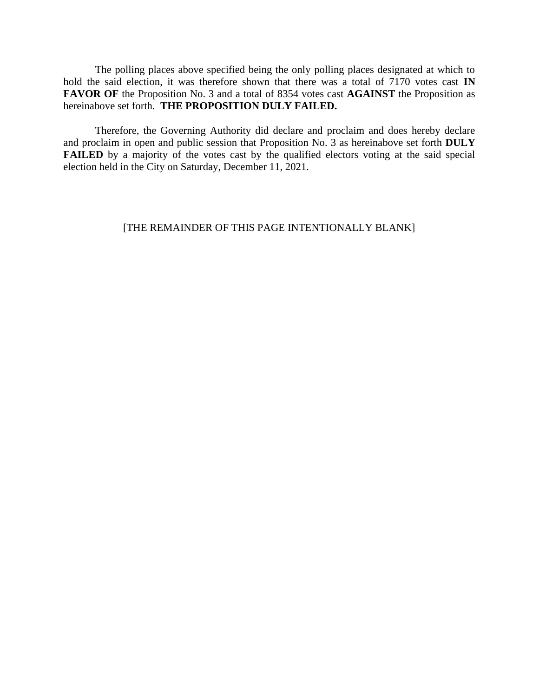The polling places above specified being the only polling places designated at which to hold the said election, it was therefore shown that there was a total of 7170 votes cast **IN FAVOR OF** the Proposition No. 3 and a total of 8354 votes cast **AGAINST** the Proposition as hereinabove set forth. **THE PROPOSITION DULY FAILED.**

Therefore, the Governing Authority did declare and proclaim and does hereby declare and proclaim in open and public session that Proposition No. 3 as hereinabove set forth **DULY FAILED** by a majority of the votes cast by the qualified electors voting at the said special election held in the City on Saturday, December 11, 2021.

# [THE REMAINDER OF THIS PAGE INTENTIONALLY BLANK]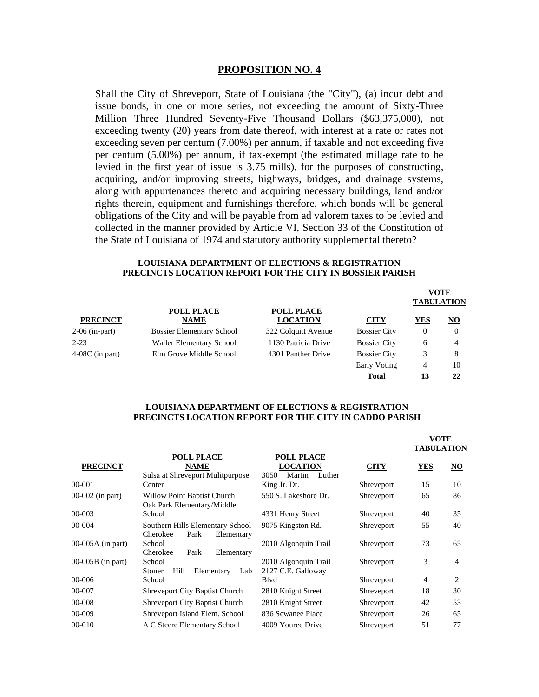#### **PROPOSITION NO. 4**

Shall the City of Shreveport, State of Louisiana (the "City"), (a) incur debt and issue bonds, in one or more series, not exceeding the amount of Sixty-Three Million Three Hundred Seventy-Five Thousand Dollars (\$63,375,000), not exceeding twenty (20) years from date thereof, with interest at a rate or rates not exceeding seven per centum (7.00%) per annum, if taxable and not exceeding five per centum (5.00%) per annum, if tax-exempt (the estimated millage rate to be levied in the first year of issue is 3.75 mills), for the purposes of constructing, acquiring, and/or improving streets, highways, bridges, and drainage systems, along with appurtenances thereto and acquiring necessary buildings, land and/or rights therein, equipment and furnishings therefore, which bonds will be general obligations of the City and will be payable from ad valorem taxes to be levied and collected in the manner provided by Article VI, Section 33 of the Constitution of the State of Louisiana of 1974 and statutory authority supplemental thereto?

#### **LOUISIANA DEPARTMENT OF ELECTIONS & REGISTRATION PRECINCTS LOCATION REPORT FOR THE CITY IN BOSSIER PARISH**

**VOTE**

| <b>PRECINCT</b>   |                                  |                                      |                     | VOLE<br><b>TABULATION</b> |                           |  |
|-------------------|----------------------------------|--------------------------------------|---------------------|---------------------------|---------------------------|--|
|                   | <b>POLL PLACE</b><br><b>NAME</b> | <b>POLL PLACE</b><br><b>LOCATION</b> | <b>CITY</b>         | YES                       | $\underline{\mathbf{NO}}$ |  |
| 2-06 (in-part)    | <b>Bossier Elementary School</b> | 322 Colquitt Avenue                  | <b>Bossier City</b> | $\theta$                  | $\Omega$                  |  |
| $2 - 23$          | Waller Elementary School         | 1130 Patricia Drive                  | <b>Bossier City</b> | 6                         | 4                         |  |
| $4-08C$ (in part) | Elm Grove Middle School          | 4301 Panther Drive                   | <b>Bossier City</b> | 3                         | 8                         |  |
|                   |                                  |                                      | Early Voting        | 4                         | 10                        |  |
|                   |                                  |                                      | <b>Total</b>        | 13                        | 22                        |  |

#### **LOUISIANA DEPARTMENT OF ELECTIONS & REGISTRATION PRECINCTS LOCATION REPORT FOR THE CITY IN CADDO PARISH**

|                                                                    |                                                       |                   | <b>VOTE</b><br>TABULATION |                |
|--------------------------------------------------------------------|-------------------------------------------------------|-------------------|---------------------------|----------------|
| <b>NAME</b>                                                        | <b>LOCATION</b><br>3050<br>Martin<br>Luther           | <b>CITY</b>       | <b>YES</b>                | NO             |
| Center                                                             | King Jr. Dr.                                          | Shreveport        | 15                        | 10             |
| Willow Point Baptist Church<br>Oak Park Elementary/Middle          | 550 S. Lakeshore Dr.                                  | Shreveport        | 65                        | 86             |
| School                                                             | 4331 Henry Street                                     | Shreveport        | 40                        | 35             |
| Southern Hills Elementary School<br>Cherokee<br>Park<br>Elementary | 9075 Kingston Rd.                                     | Shreveport        | 55                        | 40             |
| School<br>Cherokee<br>Park<br>Elementary                           | 2010 Algonquin Trail                                  | Shreveport        | 73                        | 65             |
| School<br>Hill<br>Elementary<br>Stoner<br>Lab                      | 2010 Algonquin Trail<br>2127 C.E. Galloway            | Shreveport        | 3                         | $\overline{4}$ |
| School                                                             | Blyd                                                  | Shreveport        | $\overline{4}$            | 2              |
| <b>Shreveport City Baptist Church</b>                              | 2810 Knight Street                                    | Shreveport        | 18                        | 30             |
| <b>Shreveport City Baptist Church</b>                              | 2810 Knight Street                                    | Shreveport        | 42                        | 53             |
| Shreveport Island Elem. School                                     | 836 Sewanee Place                                     | Shreveport        | 26                        | 65             |
| A C Steere Elementary School                                       | 4009 Youree Drive                                     | Shreveport        | 51                        | 77             |
|                                                                    | <b>POLL PLACE</b><br>Sulsa at Shreveport Mulitpurpose | <b>POLL PLACE</b> |                           |                |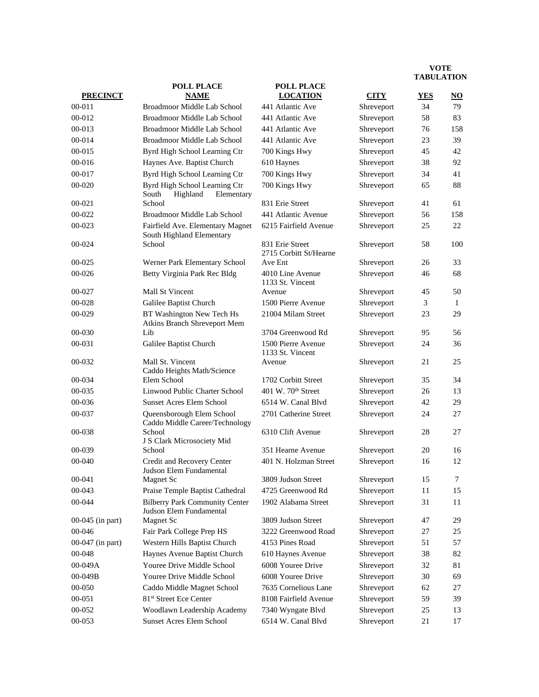|                  | <b>POLL PLACE</b>                                                | <b>POLL PLACE</b>                         |             |            |           |
|------------------|------------------------------------------------------------------|-------------------------------------------|-------------|------------|-----------|
| <b>PRECINCT</b>  | <b>NAME</b>                                                      | <b>LOCATION</b>                           | <b>CITY</b> | <b>YES</b> | <u>NO</u> |
| $00 - 011$       | Broadmoor Middle Lab School                                      | 441 Atlantic Ave                          | Shreveport  | 34         | 79        |
| 00-012           | Broadmoor Middle Lab School                                      | 441 Atlantic Ave                          | Shreveport  | 58         | 83        |
| 00-013           | Broadmoor Middle Lab School                                      | 441 Atlantic Ave                          | Shreveport  | 76         | 158       |
| 00-014           | Broadmoor Middle Lab School                                      | 441 Atlantic Ave                          | Shreveport  | 23         | 39        |
| 00-015           | Byrd High School Learning Ctr                                    | 700 Kings Hwy                             | Shreveport  | 45         | 42        |
| 00-016           | Haynes Ave. Baptist Church                                       | 610 Haynes                                | Shreveport  | 38         | 92        |
| 00-017           | Byrd High School Learning Ctr                                    | 700 Kings Hwy                             | Shreveport  | 34         | 41        |
| 00-020           | Byrd High School Learning Ctr<br>South<br>Highland<br>Elementary | 700 Kings Hwy                             | Shreveport  | 65         | 88        |
| $00 - 021$       | School                                                           | 831 Erie Street                           | Shreveport  | 41         | 61        |
| 00-022           | Broadmoor Middle Lab School                                      | 441 Atlantic Avenue                       | Shreveport  | 56         | 158       |
| 00-023           | Fairfield Ave. Elementary Magnet<br>South Highland Elementary    | 6215 Fairfield Avenue                     | Shreveport  | 25         | 22        |
| 00-024           | School                                                           | 831 Erie Street<br>2715 Corbitt St/Hearne | Shreveport  | 58         | 100       |
| 00-025           | Werner Park Elementary School                                    | Ave Ent                                   | Shreveport  | 26         | 33        |
| 00-026           | Betty Virginia Park Rec Bldg                                     | 4010 Line Avenue<br>1133 St. Vincent      | Shreveport  | 46         | 68        |
| 00-027           | Mall St Vincent                                                  | Avenue                                    | Shreveport  | 45         | 50        |
| 00-028           | Galilee Baptist Church                                           | 1500 Pierre Avenue                        | Shreveport  | 3          | 1         |
| 00-029           | BT Washington New Tech Hs<br>Atkins Branch Shreveport Mem        | 21004 Milam Street                        | Shreveport  | 23         | 29        |
| 00-030           | Lib                                                              | 3704 Greenwood Rd                         | Shreveport  | 95         | 56        |
| 00-031           | Galilee Baptist Church                                           | 1500 Pierre Avenue<br>1133 St. Vincent    | Shreveport  | 24         | 36        |
| 00-032           | Mall St. Vincent<br>Caddo Heights Math/Science                   | Avenue                                    | Shreveport  | 21         | 25        |
| 00-034           | Elem School                                                      | 1702 Corbitt Street                       | Shreveport  | 35         | 34        |
| 00-035           | Linwood Public Charter School                                    | 401 W. $70th$ Street                      | Shreveport  | 26         | 13        |
| 00-036           | <b>Sunset Acres Elem School</b>                                  | 6514 W. Canal Blvd                        | Shreveport  | 42         | 29        |
| 00-037           | Queensborough Elem School<br>Caddo Middle Career/Technology      | 2701 Catherine Street                     | Shreveport  | 24         | 27        |
| 00-038           | School<br>J S Clark Microsociety Mid                             | 6310 Clift Avenue                         | Shreveport  | 28         | 27        |
| 00-039           | School                                                           | 351 Hearne Avenue                         | Shreveport  | 20         | 16        |
| $00 - 040$       | Credit and Recovery Center<br>Judson Elem Fundamental            | 401 N. Holzman Street                     | Shreveport  | 16         | 12        |
| 00-041           | Magnet Sc                                                        | 3809 Judson Street                        | Shreveport  | 15         | 7         |
| 00-043           | Praise Temple Baptist Cathedral                                  | 4725 Greenwood Rd                         | Shreveport  | 11         | 15        |
| 00-044           | <b>Bilberry Park Community Center</b><br>Judson Elem Fundamental | 1902 Alabama Street                       | Shreveport  | 31         | 11        |
| 00-045 (in part) | <b>Magnet Sc</b>                                                 | 3809 Judson Street                        | Shreveport  | 47         | 29        |
| 00-046           | Fair Park College Prep HS                                        | 3222 Greenwood Road                       | Shreveport  | 27         | 25        |
| 00-047 (in part) | Western Hills Baptist Church                                     | 4153 Pines Road                           | Shreveport  | 51         | 57        |
| 00-048           | Haynes Avenue Baptist Church                                     | 610 Haynes Avenue                         | Shreveport  | 38         | 82        |
| 00-049A          | Youree Drive Middle School                                       | 6008 Youree Drive                         | Shreveport  | 32         | 81        |
| 00-049B          | Youree Drive Middle School                                       | 6008 Youree Drive                         | Shreveport  | 30         | 69        |
| 00-050           | Caddo Middle Magnet School                                       | 7635 Cornelious Lane                      | Shreveport  | 62         | 27        |
| 00-051           | 81st Street Ece Center                                           | 8108 Fairfield Avenue                     | Shreveport  | 59         | 39        |
| 00-052           | Woodlawn Leadership Academy                                      | 7340 Wyngate Blvd                         | Shreveport  | 25         | 13        |
| 00-053           | Sunset Acres Elem School                                         | 6514 W. Canal Blvd                        | Shreveport  | 21         | 17        |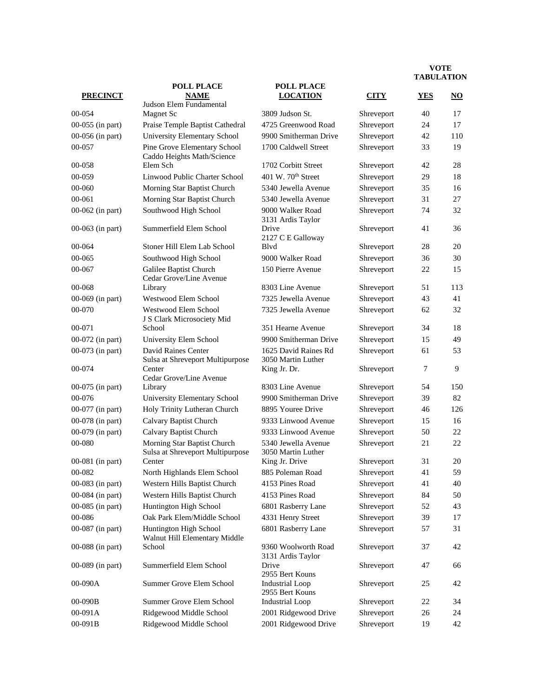|                  | <b>POLL PLACE</b>                                               | <b>POLL PLACE</b>                          |             |                |                           |
|------------------|-----------------------------------------------------------------|--------------------------------------------|-------------|----------------|---------------------------|
| <b>PRECINCT</b>  | <b>NAME</b>                                                     | <b>LOCATION</b>                            | <b>CITY</b> | <b>YES</b>     | $\underline{\mathrm{NO}}$ |
| 00-054           | Judson Elem Fundamental<br><b>Magnet Sc</b>                     | 3809 Judson St.                            | Shreveport  | 40             | 17                        |
| 00-055 (in part) | Praise Temple Baptist Cathedral                                 | 4725 Greenwood Road                        | Shreveport  | 24             | 17                        |
| 00-056 (in part) | University Elementary School                                    | 9900 Smitherman Drive                      | Shreveport  | 42             | 110                       |
| 00-057           | Pine Grove Elementary School                                    | 1700 Caldwell Street                       | Shreveport  | 33             | 19                        |
|                  | Caddo Heights Math/Science                                      |                                            |             |                |                           |
| 00-058           | Elem Sch                                                        | 1702 Corbitt Street                        | Shreveport  | 42             | 28                        |
| 00-059           | Linwood Public Charter School                                   | 401 W. $70th$ Street                       | Shreveport  | 29             | 18                        |
| $00 - 060$       | Morning Star Baptist Church                                     | 5340 Jewella Avenue                        | Shreveport  | 35             | 16                        |
| $00 - 061$       | Morning Star Baptist Church                                     | 5340 Jewella Avenue                        | Shreveport  | 31             | 27                        |
| 00-062 (in part) | Southwood High School                                           | 9000 Walker Road<br>3131 Ardis Taylor      | Shreveport  | 74             | 32                        |
| 00-063 (in part) | Summerfield Elem School                                         | Drive<br>2127 C E Galloway                 | Shreveport  | 41             | 36                        |
| 00-064           | Stoner Hill Elem Lab School                                     | Blvd                                       | Shreveport  | 28             | 20                        |
| 00-065           | Southwood High School                                           | 9000 Walker Road                           | Shreveport  | 36             | 30                        |
| 00-067           | Galilee Baptist Church<br>Cedar Grove/Line Avenue               | 150 Pierre Avenue                          | Shreveport  | 22             | 15                        |
| 00-068           | Library                                                         | 8303 Line Avenue                           | Shreveport  | 51             | 113                       |
| 00-069 (in part) | Westwood Elem School                                            | 7325 Jewella Avenue                        | Shreveport  | 43             | 41                        |
| 00-070           | Westwood Elem School<br>J S Clark Microsociety Mid              | 7325 Jewella Avenue                        | Shreveport  | 62             | 32                        |
| 00-071           | School                                                          | 351 Hearne Avenue                          | Shreveport  | 34             | 18                        |
| 00-072 (in part) | University Elem School                                          | 9900 Smitherman Drive                      | Shreveport  | 15             | 49                        |
| 00-073 (in part) | David Raines Center<br>Sulsa at Shreveport Multipurpose         | 1625 David Raines Rd<br>3050 Martin Luther | Shreveport  | 61             | 53                        |
| 00-074           | Center<br>Cedar Grove/Line Avenue                               | King Jr. Dr.                               | Shreveport  | $\overline{7}$ | 9                         |
| 00-075 (in part) | Library                                                         | 8303 Line Avenue                           | Shreveport  | 54             | 150                       |
| 00-076           | University Elementary School                                    | 9900 Smitherman Drive                      | Shreveport  | 39             | 82                        |
| 00-077 (in part) | Holy Trinity Lutheran Church                                    | 8895 Youree Drive                          | Shreveport  | 46             | 126                       |
| 00-078 (in part) | Calvary Baptist Church                                          | 9333 Linwood Avenue                        | Shreveport  | 15             | 16                        |
| 00-079 (in part) | Calvary Baptist Church                                          | 9333 Linwood Avenue                        | Shreveport  | 50             | 22                        |
| 00-080           | Morning Star Baptist Church<br>Sulsa at Shreveport Multipurpose | 5340 Jewella Avenue<br>3050 Martin Luther  | Shreveport  | 21             | 22                        |
| 00-081 (in part) | Center                                                          | King Jr. Drive                             | Shreveport  | 31             | 20                        |
| 00-082           | North Highlands Elem School                                     | 885 Poleman Road                           | Shreveport  | 41             | 59                        |
| 00-083 (in part) | Western Hills Baptist Church                                    | 4153 Pines Road                            | Shreveport  | 41             | 40                        |
| 00-084 (in part) | Western Hills Baptist Church                                    | 4153 Pines Road                            | Shreveport  | 84             | 50                        |
| 00-085 (in part) | Huntington High School                                          | 6801 Rasberry Lane                         | Shreveport  | 52             | 43                        |
| 00-086           | Oak Park Elem/Middle School                                     | 4331 Henry Street                          | Shreveport  | 39             | 17                        |
| 00-087 (in part) | Huntington High School<br>Walnut Hill Elementary Middle         | 6801 Rasberry Lane                         | Shreveport  | 57             | 31                        |
| 00-088 (in part) | School                                                          | 9360 Woolworth Road<br>3131 Ardis Taylor   | Shreveport  | 37             | 42                        |
| 00-089 (in part) | Summerfield Elem School                                         | Drive<br>2955 Bert Kouns                   | Shreveport  | 47             | 66                        |
| 00-090A          | Summer Grove Elem School                                        | <b>Industrial Loop</b><br>2955 Bert Kouns  | Shreveport  | 25             | 42                        |
| 00-090B          | Summer Grove Elem School                                        | <b>Industrial Loop</b>                     | Shreveport  | 22             | 34                        |
| 00-091A          | Ridgewood Middle School                                         | 2001 Ridgewood Drive                       | Shreveport  | 26             | 24                        |
| 00-091B          | Ridgewood Middle School                                         | 2001 Ridgewood Drive                       | Shreveport  | 19             | 42                        |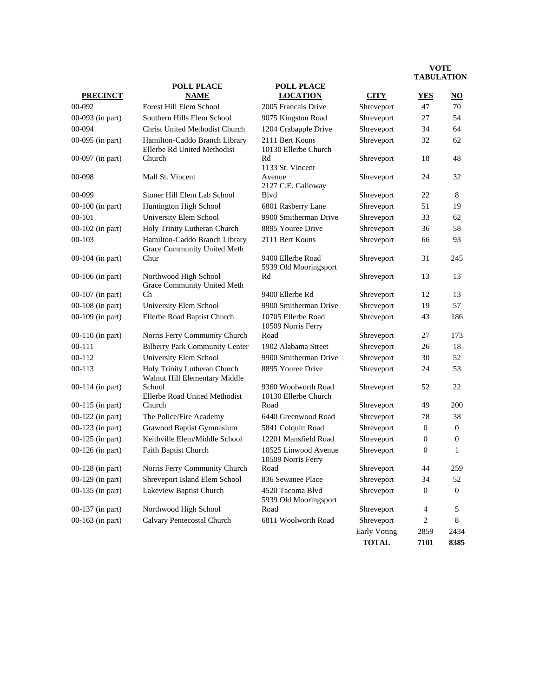| <b>PRECINCT</b>    | <b>POLL PLACE</b><br><b>NAME</b>                              | <b>POLL PLACE</b><br><b>LOCATION</b>        | <b>CITY</b>  | <b>YES</b>     | IADULATIVI<br>$\underline{\mathrm{NO}}$ |
|--------------------|---------------------------------------------------------------|---------------------------------------------|--------------|----------------|-----------------------------------------|
| 00-092             | Forest Hill Elem School                                       | 2005 Francais Drive                         | Shreveport   | 47             | 70                                      |
| 00-093 (in part)   | Southern Hills Elem School                                    | 9075 Kingston Road                          | Shreveport   | 27             | 54                                      |
| 00-094             | Christ United Methodist Church                                | 1204 Crabapple Drive                        | Shreveport   | 34             | 64                                      |
| 00-095 (in part)   | Hamilton-Caddo Branch Library<br>Ellerbe Rd United Methodist  | 2111 Bert Kouns<br>10130 Ellerbe Church     | Shreveport   | 32             | 62                                      |
| 00-097 (in part)   | Church                                                        | Rd<br>1133 St. Vincent                      | Shreveport   | 18             | 48                                      |
| 00-098             | Mall St. Vincent                                              | Avenue<br>2127 C.E. Galloway                | Shreveport   | 24             | 32                                      |
| 00-099             | Stoner Hill Elem Lab School                                   | Blyd                                        | Shreveport   | 22             | 8                                       |
| 00-100 (in part)   | Huntington High School                                        | 6801 Rasberry Lane                          | Shreveport   | 51             | 19                                      |
| $00 - 101$         | University Elem School                                        | 9900 Smitherman Drive                       | Shreveport   | 33             | 62                                      |
| $00-102$ (in part) | Holy Trinity Lutheran Church                                  | 8895 Youree Drive                           | Shreveport   | 36             | 58                                      |
| $00 - 103$         | Hamilton-Caddo Branch Library<br>Grace Community United Meth  | 2111 Bert Kouns                             | Shreveport   | 66             | 93                                      |
| 00-104 (in part)   | Chur                                                          | 9400 Ellerbe Road<br>5939 Old Mooringsport  | Shreveport   | 31             | 245                                     |
| 00-106 (in part)   | Northwood High School<br>Grace Community United Meth          | Rd                                          | Shreveport   | 13             | 13                                      |
| $00-107$ (in part) | Ch                                                            | 9400 Ellerbe Rd                             | Shreveport   | 12             | 13                                      |
| 00-108 (in part)   | University Elem School                                        | 9900 Smitherman Drive                       | Shreveport   | 19             | 57                                      |
| 00-109 (in part)   | Ellerbe Road Baptist Church                                   | 10705 Ellerbe Road<br>10509 Norris Ferry    | Shreveport   | 43             | 186                                     |
| $00-110$ (in part) | Norris Ferry Community Church                                 | Road                                        | Shreveport   | 27             | 173                                     |
| $00 - 111$         | <b>Bilberry Park Community Center</b>                         | 1902 Alabama Street                         | Shreveport   | 26             | 18                                      |
| 00-112             | University Elem School                                        | 9900 Smitherman Drive                       | Shreveport   | 30             | 52                                      |
| $00 - 113$         | Holy Trinity Lutheran Church<br>Walnut Hill Elementary Middle | 8895 Youree Drive                           | Shreveport   | 24             | 53                                      |
| 00-114 (in part)   | School<br>Ellerbe Road United Methodist                       | 9360 Woolworth Road<br>10130 Ellerbe Church | Shreveport   | 52             | 22                                      |
| 00-115 (in part)   | Church                                                        | Road                                        | Shreveport   | 49             | 200                                     |
| 00-122 (in part)   | The Police/Fire Academy                                       | 6440 Greenwood Road                         | Shreveport   | 78             | 38                                      |
| 00-123 (in part)   | Grawood Baptist Gymnasium                                     | 5841 Colquitt Road                          | Shreveport   | $\mathbf{0}$   | $\mathbf{0}$                            |
| 00-125 (in part)   | Keithville Elem/Middle School                                 | 12201 Mansfield Road                        | Shreveport   | $\mathbf{0}$   | $\theta$                                |
| 00-126 (in part)   | <b>Faith Baptist Church</b>                                   | 10525 Linwood Avenue<br>10509 Norris Ferry  | Shreveport   | $\mathbf{0}$   | $\mathbf{1}$                            |
| $00-128$ (in part) | Norris Ferry Community Church                                 | Road                                        | Shreveport   | 44             | 259                                     |
| 00-129 (in part)   | Shreveport Island Elem School                                 | 836 Sewanee Place                           | Shreveport   | 34             | 52                                      |
| 00-135 (in part)   | Lakeview Baptist Church                                       | 4520 Tacoma Blvd<br>5939 Old Mooringsport   | Shreveport   | 0              | 0                                       |
| 00-137 (in part)   | Northwood High School                                         | Road                                        | Shreveport   | $\overline{4}$ | 5                                       |
| 00-163 (in part)   | Calvary Pentecostal Church                                    | 6811 Woolworth Road                         | Shreveport   | $\overline{c}$ | 8                                       |
|                    |                                                               |                                             | Early Voting | 2859           | 2434                                    |
|                    |                                                               |                                             | <b>TOTAL</b> | 7101           | 8385                                    |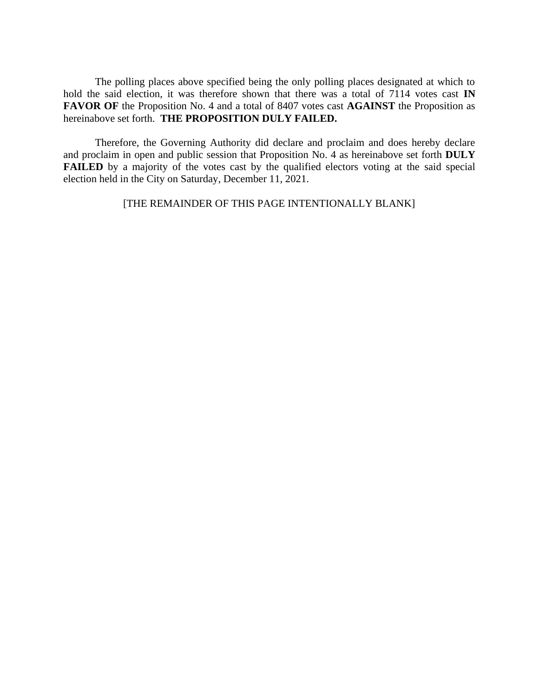The polling places above specified being the only polling places designated at which to hold the said election, it was therefore shown that there was a total of 7114 votes cast **IN FAVOR OF** the Proposition No. 4 and a total of 8407 votes cast **AGAINST** the Proposition as hereinabove set forth. **THE PROPOSITION DULY FAILED.**

Therefore, the Governing Authority did declare and proclaim and does hereby declare and proclaim in open and public session that Proposition No. 4 as hereinabove set forth **DULY FAILED** by a majority of the votes cast by the qualified electors voting at the said special election held in the City on Saturday, December 11, 2021.

[THE REMAINDER OF THIS PAGE INTENTIONALLY BLANK]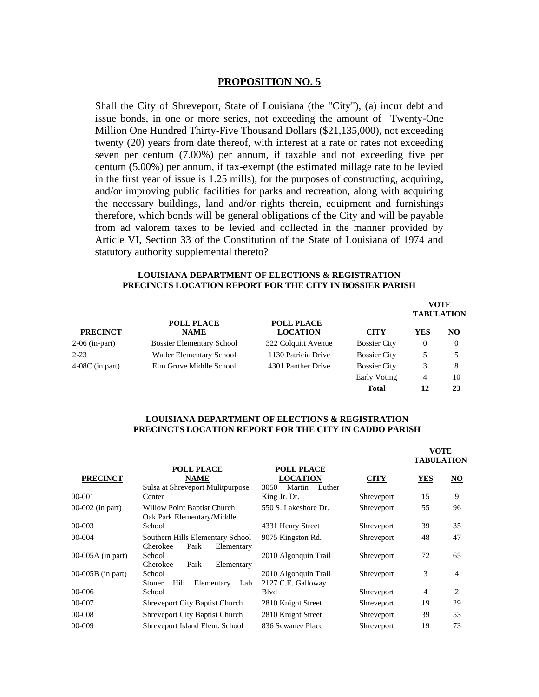# **PROPOSITION NO. 5**

Shall the City of Shreveport, State of Louisiana (the "City"), (a) incur debt and issue bonds, in one or more series, not exceeding the amount of Twenty-One Million One Hundred Thirty-Five Thousand Dollars (\$21,135,000), not exceeding twenty (20) years from date thereof, with interest at a rate or rates not exceeding seven per centum (7.00%) per annum, if taxable and not exceeding five per centum (5.00%) per annum, if tax-exempt (the estimated millage rate to be levied in the first year of issue is 1.25 mills), for the purposes of constructing, acquiring, and/or improving public facilities for parks and recreation, along with acquiring the necessary buildings, land and/or rights therein, equipment and furnishings therefore, which bonds will be general obligations of the City and will be payable from ad valorem taxes to be levied and collected in the manner provided by Article VI, Section 33 of the Constitution of the State of Louisiana of 1974 and statutory authority supplemental thereto?

#### **LOUISIANA DEPARTMENT OF ELECTIONS & REGISTRATION PRECINCTS LOCATION REPORT FOR THE CITY IN BOSSIER PARISH**

|                   |                                  |                                      |                     | <b>VOTE</b><br><b>TABULATION</b> |                |  |
|-------------------|----------------------------------|--------------------------------------|---------------------|----------------------------------|----------------|--|
| <b>PRECINCT</b>   | <b>POLL PLACE</b><br><b>NAME</b> | <b>POLL PLACE</b><br><b>LOCATION</b> | <b>CITY</b>         | YES                              | $\overline{N}$ |  |
| 2-06 (in-part)    | <b>Bossier Elementary School</b> | 322 Colquitt Avenue                  | <b>Bossier City</b> | $\theta$                         | $\theta$       |  |
| $2 - 23$          | Waller Elementary School         | 1130 Patricia Drive                  | <b>Bossier City</b> | 5                                |                |  |
| $4-08C$ (in part) | Elm Grove Middle School          | 4301 Panther Drive                   | <b>Bossier City</b> |                                  | 8              |  |
|                   |                                  |                                      | Early Voting        | $\overline{4}$                   | 10             |  |
|                   |                                  |                                      | <b>Total</b>        | 12                               | 23             |  |

#### **LOUISIANA DEPARTMENT OF ELECTIONS & REGISTRATION PRECINCTS LOCATION REPORT FOR THE CITY IN CADDO PARISH**

| <b>PRECINCT</b>     |                                                                      |                                                                  |             | <b>VOTE</b><br><b>TABULATION</b> |                |
|---------------------|----------------------------------------------------------------------|------------------------------------------------------------------|-------------|----------------------------------|----------------|
|                     | <b>POLL PLACE</b><br><b>NAME</b><br>Sulsa at Shreveport Mulitpurpose | <b>POLL PLACE</b><br><b>LOCATION</b><br>3050<br>Martin<br>Luther | <b>CITY</b> | <b>YES</b>                       | NO             |
| 00-001              | Center                                                               | King Jr. Dr.                                                     | Shreveport  | 15                               | 9              |
| $00-002$ (in part)  | <b>Willow Point Baptist Church</b><br>Oak Park Elementary/Middle     | 550 S. Lakeshore Dr.                                             | Shreveport  | 55                               | 96             |
| 00-003              | School                                                               | 4331 Henry Street                                                | Shreveport  | 39                               | 35             |
| 00-004              | Southern Hills Elementary School<br>Cherokee<br>Park<br>Elementary   | 9075 Kingston Rd.                                                | Shreveport  | 48                               | 47             |
| $00-005A$ (in part) | School<br>Cherokee<br>Park<br>Elementary                             | 2010 Algonquin Trail                                             | Shreveport  | 72                               | 65             |
| $00-005B$ (in part) | School<br>Hill<br>Elementary<br>Stoner<br>Lab                        | 2010 Algonquin Trail<br>2127 C.E. Galloway                       | Shreveport  | 3                                | $\overline{4}$ |
| 00-006              | School                                                               | Blyd                                                             | Shreveport  | $\overline{4}$                   | 2              |
| 00-007              | <b>Shreveport City Baptist Church</b>                                | 2810 Knight Street                                               | Shreveport  | 19                               | 29             |
| 00-008              | <b>Shreveport City Baptist Church</b>                                | 2810 Knight Street                                               | Shreveport  | 39                               | 53             |
| 00-009              | Shreveport Island Elem. School                                       | 836 Sewanee Place                                                | Shreveport  | 19                               | 73             |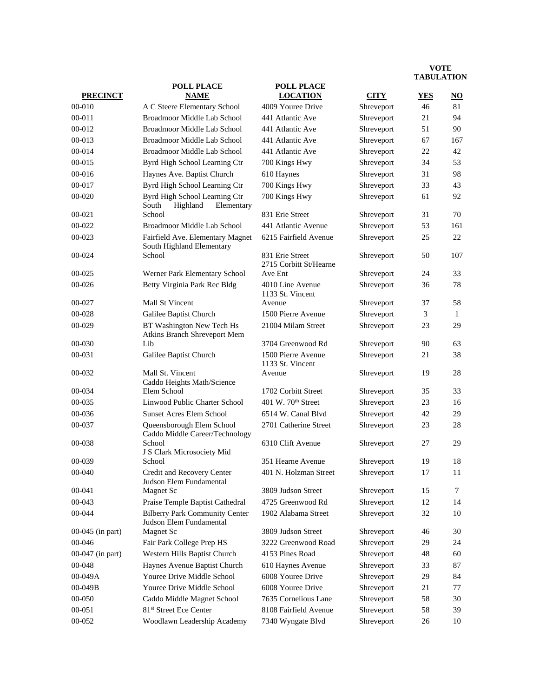|                  | <b>POLL PLACE</b>                                                | <b>POLL PLACE</b>                         |             |                |              |
|------------------|------------------------------------------------------------------|-------------------------------------------|-------------|----------------|--------------|
| <b>PRECINCT</b>  | <b>NAME</b>                                                      | <b>LOCATION</b>                           | <b>CITY</b> | <b>YES</b>     | NO           |
| 00-010           | A C Steere Elementary School                                     | 4009 Youree Drive                         | Shreveport  | 46             | 81           |
| $00 - 011$       | Broadmoor Middle Lab School                                      | 441 Atlantic Ave                          | Shreveport  | 21             | 94           |
| 00-012           | Broadmoor Middle Lab School                                      | 441 Atlantic Ave                          | Shreveport  | 51             | 90           |
| 00-013           | Broadmoor Middle Lab School                                      | 441 Atlantic Ave                          | Shreveport  | 67             | 167          |
| 00-014           | Broadmoor Middle Lab School                                      | 441 Atlantic Ave                          | Shreveport  | 22             | 42           |
| 00-015           | Byrd High School Learning Ctr                                    | 700 Kings Hwy                             | Shreveport  | 34             | 53           |
| 00-016           | Haynes Ave. Baptist Church                                       | 610 Haynes                                | Shreveport  | 31             | 98           |
| 00-017           | Byrd High School Learning Ctr                                    | 700 Kings Hwy                             | Shreveport  | 33             | 43           |
| 00-020           | Byrd High School Learning Ctr<br>South<br>Highland<br>Elementary | 700 Kings Hwy                             | Shreveport  | 61             | 92           |
| $00 - 021$       | School                                                           | 831 Erie Street                           | Shreveport  | 31             | 70           |
| 00-022           | Broadmoor Middle Lab School                                      | 441 Atlantic Avenue                       | Shreveport  | 53             | 161          |
| 00-023           | Fairfield Ave. Elementary Magnet<br>South Highland Elementary    | 6215 Fairfield Avenue                     | Shreveport  | 25             | 22           |
| 00-024           | School                                                           | 831 Erie Street<br>2715 Corbitt St/Hearne | Shreveport  | 50             | 107          |
| 00-025           | Werner Park Elementary School                                    | Ave Ent                                   | Shreveport  | 24             | 33           |
| 00-026           | Betty Virginia Park Rec Bldg                                     | 4010 Line Avenue<br>1133 St. Vincent      | Shreveport  | 36             | 78           |
| 00-027           | Mall St Vincent                                                  | Avenue                                    | Shreveport  | 37             | 58           |
| 00-028           | Galilee Baptist Church                                           | 1500 Pierre Avenue                        | Shreveport  | $\mathfrak{Z}$ | $\mathbf{1}$ |
| 00-029           | BT Washington New Tech Hs<br>Atkins Branch Shreveport Mem        | 21004 Milam Street                        | Shreveport  | 23             | 29           |
| 00-030           | Lib                                                              | 3704 Greenwood Rd                         | Shreveport  | 90             | 63           |
| 00-031           | Galilee Baptist Church                                           | 1500 Pierre Avenue<br>1133 St. Vincent    | Shreveport  | 21             | 38           |
| 00-032           | Mall St. Vincent<br>Caddo Heights Math/Science                   | Avenue                                    | Shreveport  | 19             | 28           |
| 00-034           | Elem School                                                      | 1702 Corbitt Street                       | Shreveport  | 35             | 33           |
| 00-035           | Linwood Public Charter School                                    | 401 W. $70th$ Street                      | Shreveport  | 23             | 16           |
| 00-036           | <b>Sunset Acres Elem School</b>                                  | 6514 W. Canal Blvd                        | Shreveport  | 42             | 29           |
| 00-037           | Queensborough Elem School<br>Caddo Middle Career/Technology      | 2701 Catherine Street                     | Shreveport  | 23             | 28           |
| 00-038           | School<br>J S Clark Microsociety Mid                             | 6310 Clift Avenue                         | Shreveport  | 27             | 29           |
| 00-039           | School                                                           | 351 Hearne Avenue                         | Shreveport  | 19             | 18           |
| 00-040           | Credit and Recovery Center<br>Judson Elem Fundamental            | 401 N. Holzman Street                     | Shreveport  | 17             | 11           |
| 00-041           | <b>Magnet Sc</b>                                                 | 3809 Judson Street                        | Shreveport  | 15             | 7            |
| 00-043           | Praise Temple Baptist Cathedral                                  | 4725 Greenwood Rd                         | Shreveport  | 12             | 14           |
| 00-044           | <b>Bilberry Park Community Center</b><br>Judson Elem Fundamental | 1902 Alabama Street                       | Shreveport  | 32             | 10           |
| 00-045 (in part) | Magnet Sc                                                        | 3809 Judson Street                        | Shreveport  | 46             | 30           |
| 00-046           | Fair Park College Prep HS                                        | 3222 Greenwood Road                       | Shreveport  | 29             | 24           |
| 00-047 (in part) | Western Hills Baptist Church                                     | 4153 Pines Road                           | Shreveport  | 48             | 60           |
| 00-048           | Haynes Avenue Baptist Church                                     | 610 Haynes Avenue                         | Shreveport  | 33             | 87           |
| 00-049A          | Youree Drive Middle School                                       | 6008 Youree Drive                         | Shreveport  | 29             | 84           |
| 00-049B          | Youree Drive Middle School                                       | 6008 Youree Drive                         | Shreveport  | 21             | 77           |
| 00-050           | Caddo Middle Magnet School                                       | 7635 Cornelious Lane                      | Shreveport  | 58             | 30           |
| 00-051           | 81 <sup>st</sup> Street Ece Center                               | 8108 Fairfield Avenue                     | Shreveport  | 58             | 39           |
| 00-052           | Woodlawn Leadership Academy                                      | 7340 Wyngate Blvd                         | Shreveport  | 26             | 10           |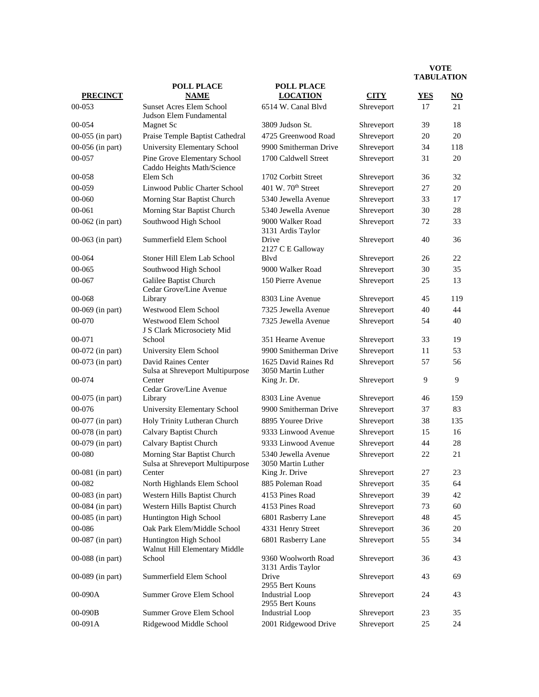|                    | <b>POLL PLACE</b>                                               | <b>POLL PLACE</b>                          |             |            |                           |
|--------------------|-----------------------------------------------------------------|--------------------------------------------|-------------|------------|---------------------------|
| <b>PRECINCT</b>    | <b>NAME</b>                                                     | <b>LOCATION</b>                            | <b>CITY</b> | <b>YES</b> | $\underline{\mathrm{NO}}$ |
| 00-053             | <b>Sunset Acres Elem School</b><br>Judson Elem Fundamental      | 6514 W. Canal Blvd                         | Shreveport  | 17         | 21                        |
| 00-054             | <b>Magnet Sc</b>                                                | 3809 Judson St.                            | Shreveport  | 39         | 18                        |
| 00-055 (in part)   | Praise Temple Baptist Cathedral                                 | 4725 Greenwood Road                        | Shreveport  | 20         | 20                        |
| 00-056 (in part)   | University Elementary School                                    | 9900 Smitherman Drive                      | Shreveport  | 34         | 118                       |
| 00-057             | Pine Grove Elementary School<br>Caddo Heights Math/Science      | 1700 Caldwell Street                       | Shreveport  | 31         | 20                        |
| 00-058             | Elem Sch                                                        | 1702 Corbitt Street                        | Shreveport  | 36         | 32                        |
| 00-059             | Linwood Public Charter School                                   | 401 W. 70 <sup>th</sup> Street             | Shreveport  | 27         | 20                        |
| 00-060             | Morning Star Baptist Church                                     | 5340 Jewella Avenue                        | Shreveport  | 33         | 17                        |
| 00-061             | Morning Star Baptist Church                                     | 5340 Jewella Avenue                        | Shreveport  | 30         | 28                        |
| 00-062 (in part)   | Southwood High School                                           | 9000 Walker Road<br>3131 Ardis Taylor      | Shreveport  | 72         | 33                        |
| 00-063 (in part)   | Summerfield Elem School                                         | Drive<br>2127 C E Galloway                 | Shreveport  | 40         | 36                        |
| 00-064             | Stoner Hill Elem Lab School                                     | Blyd                                       | Shreveport  | 26         | 22                        |
| 00-065             | Southwood High School                                           | 9000 Walker Road                           | Shreveport  | 30         | 35                        |
| 00-067             | Galilee Baptist Church<br>Cedar Grove/Line Avenue               | 150 Pierre Avenue                          | Shreveport  | 25         | 13                        |
| 00-068             | Library                                                         | 8303 Line Avenue                           | Shreveport  | 45         | 119                       |
| 00-069 (in part)   | Westwood Elem School                                            | 7325 Jewella Avenue                        | Shreveport  | 40         | 44                        |
| 00-070             | Westwood Elem School<br>J S Clark Microsociety Mid              | 7325 Jewella Avenue                        | Shreveport  | 54         | 40                        |
| 00-071             | School                                                          | 351 Hearne Avenue                          | Shreveport  | 33         | 19                        |
| 00-072 (in part)   | University Elem School                                          | 9900 Smitherman Drive                      | Shreveport  | 11         | 53                        |
| 00-073 (in part)   | David Raines Center<br>Sulsa at Shreveport Multipurpose         | 1625 David Raines Rd<br>3050 Martin Luther | Shreveport  | 57         | 56                        |
| 00-074             | Center<br>Cedar Grove/Line Avenue                               | King Jr. Dr.                               | Shreveport  | 9          | 9                         |
| 00-075 (in part)   | Library                                                         | 8303 Line Avenue                           | Shreveport  | 46         | 159                       |
| 00-076             | University Elementary School                                    | 9900 Smitherman Drive                      | Shreveport  | 37         | 83                        |
| 00-077 (in part)   | Holy Trinity Lutheran Church                                    | 8895 Youree Drive                          | Shreveport  | 38         | 135                       |
| 00-078 (in part)   | Calvary Baptist Church                                          | 9333 Linwood Avenue                        | Shreveport  | 15         | 16                        |
| 00-079 (in part)   | Calvary Baptist Church                                          | 9333 Linwood Avenue                        | Shreveport  | 44         | 28                        |
| 00-080             | Morning Star Baptist Church<br>Sulsa at Shreveport Multipurpose | 5340 Jewella Avenue<br>3050 Martin Luther  | Shreveport  | 22         | 21                        |
| $00-081$ (in part) | Center                                                          | King Jr. Drive                             | Shreveport  | 27         | 23                        |
| 00-082             | North Highlands Elem School                                     | 885 Poleman Road                           | Shreveport  | 35         | 64                        |
| 00-083 (in part)   | Western Hills Baptist Church                                    | 4153 Pines Road                            | Shreveport  | 39         | 42                        |
| 00-084 (in part)   | Western Hills Baptist Church                                    | 4153 Pines Road                            | Shreveport  | 73         | 60                        |
| 00-085 (in part)   | Huntington High School                                          | 6801 Rasberry Lane                         | Shreveport  | 48         | 45                        |
| 00-086             | Oak Park Elem/Middle School                                     | 4331 Henry Street                          | Shreveport  | 36         | 20                        |
| 00-087 (in part)   | Huntington High School<br>Walnut Hill Elementary Middle         | 6801 Rasberry Lane                         | Shreveport  | 55         | 34                        |
| 00-088 (in part)   | School                                                          | 9360 Woolworth Road<br>3131 Ardis Taylor   | Shreveport  | 36         | 43                        |
| 00-089 (in part)   | Summerfield Elem School                                         | Drive<br>2955 Bert Kouns                   | Shreveport  | 43         | 69                        |
| 00-090A            | Summer Grove Elem School                                        | <b>Industrial Loop</b><br>2955 Bert Kouns  | Shreveport  | 24         | 43                        |
| 00-090B            | Summer Grove Elem School                                        | <b>Industrial Loop</b>                     | Shreveport  | 23         | 35                        |
| 00-091A            | Ridgewood Middle School                                         | 2001 Ridgewood Drive                       | Shreveport  | 25         | 24                        |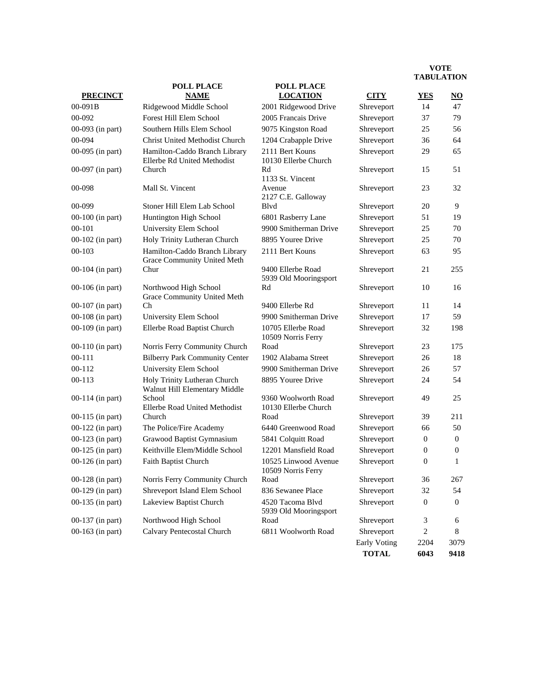|                    | <b>POLL PLACE</b>                                             | <b>POLL PLACE</b>                           | <b>TADULATION</b> |                |                        |
|--------------------|---------------------------------------------------------------|---------------------------------------------|-------------------|----------------|------------------------|
| <b>PRECINCT</b>    | <b>NAME</b>                                                   | <b>LOCATION</b>                             | <b>CITY</b>       | <b>YES</b>     | $\overline{\text{NO}}$ |
| 00-091B            | Ridgewood Middle School                                       | 2001 Ridgewood Drive                        | Shreveport        | 14             | 47                     |
| 00-092             | Forest Hill Elem School                                       | 2005 Francais Drive                         | Shreveport        | 37             | 79                     |
| 00-093 (in part)   | Southern Hills Elem School                                    | 9075 Kingston Road                          | Shreveport        | 25             | 56                     |
| 00-094             | Christ United Methodist Church                                | 1204 Crabapple Drive                        | Shreveport        | 36             | 64                     |
| 00-095 (in part)   | Hamilton-Caddo Branch Library<br>Ellerbe Rd United Methodist  | 2111 Bert Kouns<br>10130 Ellerbe Church     | Shreveport        | 29             | 65                     |
| 00-097 (in part)   | Church                                                        | Rd<br>1133 St. Vincent                      | Shreveport        | 15             | 51                     |
| 00-098             | Mall St. Vincent                                              | Avenue<br>2127 C.E. Galloway                | Shreveport        | 23             | 32                     |
| 00-099             | Stoner Hill Elem Lab School                                   | Blvd                                        | Shreveport        | 20             | 9                      |
| 00-100 (in part)   | Huntington High School                                        | 6801 Rasberry Lane                          | Shreveport        | 51             | 19                     |
| $00 - 101$         | University Elem School                                        | 9900 Smitherman Drive                       | Shreveport        | 25             | 70                     |
| 00-102 (in part)   | Holy Trinity Lutheran Church                                  | 8895 Youree Drive                           | Shreveport        | 25             | 70                     |
| $00 - 103$         | Hamilton-Caddo Branch Library<br>Grace Community United Meth  | 2111 Bert Kouns                             | Shreveport        | 63             | 95                     |
| 00-104 (in part)   | Chur                                                          | 9400 Ellerbe Road<br>5939 Old Mooringsport  | Shreveport        | 21             | 255                    |
| 00-106 (in part)   | Northwood High School<br>Grace Community United Meth          | Rd                                          | Shreveport        | 10             | 16                     |
| $00-107$ (in part) | Ch                                                            | 9400 Ellerbe Rd                             | Shreveport        | 11             | 14                     |
| 00-108 (in part)   | University Elem School                                        | 9900 Smitherman Drive                       | Shreveport        | 17             | 59                     |
| 00-109 (in part)   | Ellerbe Road Baptist Church                                   | 10705 Ellerbe Road<br>10509 Norris Ferry    | Shreveport        | 32             | 198                    |
| $00-110$ (in part) | Norris Ferry Community Church                                 | Road                                        | Shreveport        | 23             | 175                    |
| $00 - 111$         | <b>Bilberry Park Community Center</b>                         | 1902 Alabama Street                         | Shreveport        | 26             | 18                     |
| $00 - 112$         | University Elem School                                        | 9900 Smitherman Drive                       | Shreveport        | 26             | 57                     |
| $00 - 113$         | Holy Trinity Lutheran Church<br>Walnut Hill Elementary Middle | 8895 Youree Drive                           | Shreveport        | 24             | 54                     |
| 00-114 (in part)   | School<br>Ellerbe Road United Methodist                       | 9360 Woolworth Road<br>10130 Ellerbe Church | Shreveport        | 49             | 25                     |
| 00-115 (in part)   | Church                                                        | Road                                        | Shreveport        | 39             | 211                    |
| 00-122 (in part)   | The Police/Fire Academy                                       | 6440 Greenwood Road                         | Shreveport        | 66             | 50                     |
| 00-123 (in part)   | Grawood Baptist Gymnasium                                     | 5841 Colquitt Road                          | Shreveport        | $\mathbf{0}$   | $\mathbf{0}$           |
| 00-125 (in part)   | Keithville Elem/Middle School                                 | 12201 Mansfield Road                        | Shreveport        | $\overline{0}$ | $\boldsymbol{0}$       |
| 00-126 (in part)   | Faith Baptist Church                                          | 10525 Linwood Avenue<br>10509 Norris Ferry  | Shreveport        | $\overline{0}$ | 1                      |
| 00-128 (in part)   | Norris Ferry Community Church                                 | Road                                        | Shreveport        | 36             | 267                    |
| 00-129 (in part)   | Shreveport Island Elem School                                 | 836 Sewanee Place                           | Shreveport        | 32             | 54                     |
| 00-135 (in part)   | Lakeview Baptist Church                                       | 4520 Tacoma Blvd<br>5939 Old Mooringsport   | Shreveport        | $\mathbf{0}$   | $\theta$               |
| 00-137 (in part)   | Northwood High School                                         | Road                                        | Shreveport        | 3              | 6                      |
| 00-163 (in part)   | Calvary Pentecostal Church                                    | 6811 Woolworth Road                         | Shreveport        | $\overline{c}$ | 8                      |
|                    |                                                               |                                             | Early Voting      | 2204           | 3079                   |
|                    |                                                               |                                             | <b>TOTAL</b>      | 6043           | 9418                   |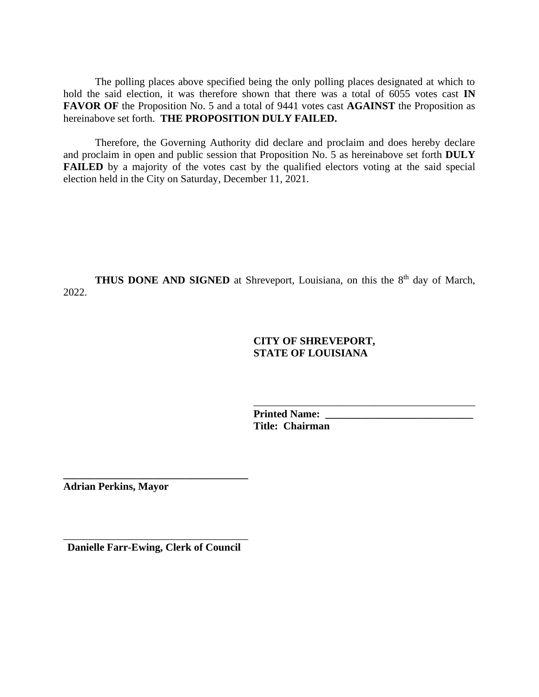The polling places above specified being the only polling places designated at which to hold the said election, it was therefore shown that there was a total of 6055 votes cast **IN FAVOR OF** the Proposition No. 5 and a total of 9441 votes cast **AGAINST** the Proposition as hereinabove set forth. **THE PROPOSITION DULY FAILED.**

Therefore, the Governing Authority did declare and proclaim and does hereby declare and proclaim in open and public session that Proposition No. 5 as hereinabove set forth **DULY FAILED** by a majority of the votes cast by the qualified electors voting at the said special election held in the City on Saturday, December 11, 2021.

**THUS DONE AND SIGNED** at Shreveport, Louisiana, on this the 8<sup>th</sup> day of March, 2022.

# **CITY OF SHREVEPORT, STATE OF LOUISIANA**

\_\_\_\_\_\_\_\_\_\_\_\_\_\_\_\_\_\_\_\_\_\_\_\_\_\_\_\_\_\_\_\_\_\_\_\_\_\_\_\_\_\_

Printed Name: **Title: Chairman**

**Adrian Perkins, Mayor**

\_\_\_\_\_\_\_\_\_\_\_\_\_\_\_\_\_\_\_\_\_\_\_\_\_\_\_\_\_\_\_\_\_\_\_ **Danielle Farr-Ewing, Clerk of Council**

**\_\_\_\_\_\_\_\_\_\_\_\_\_\_\_\_\_\_\_\_\_\_\_\_\_\_\_\_\_\_\_\_\_\_\_**